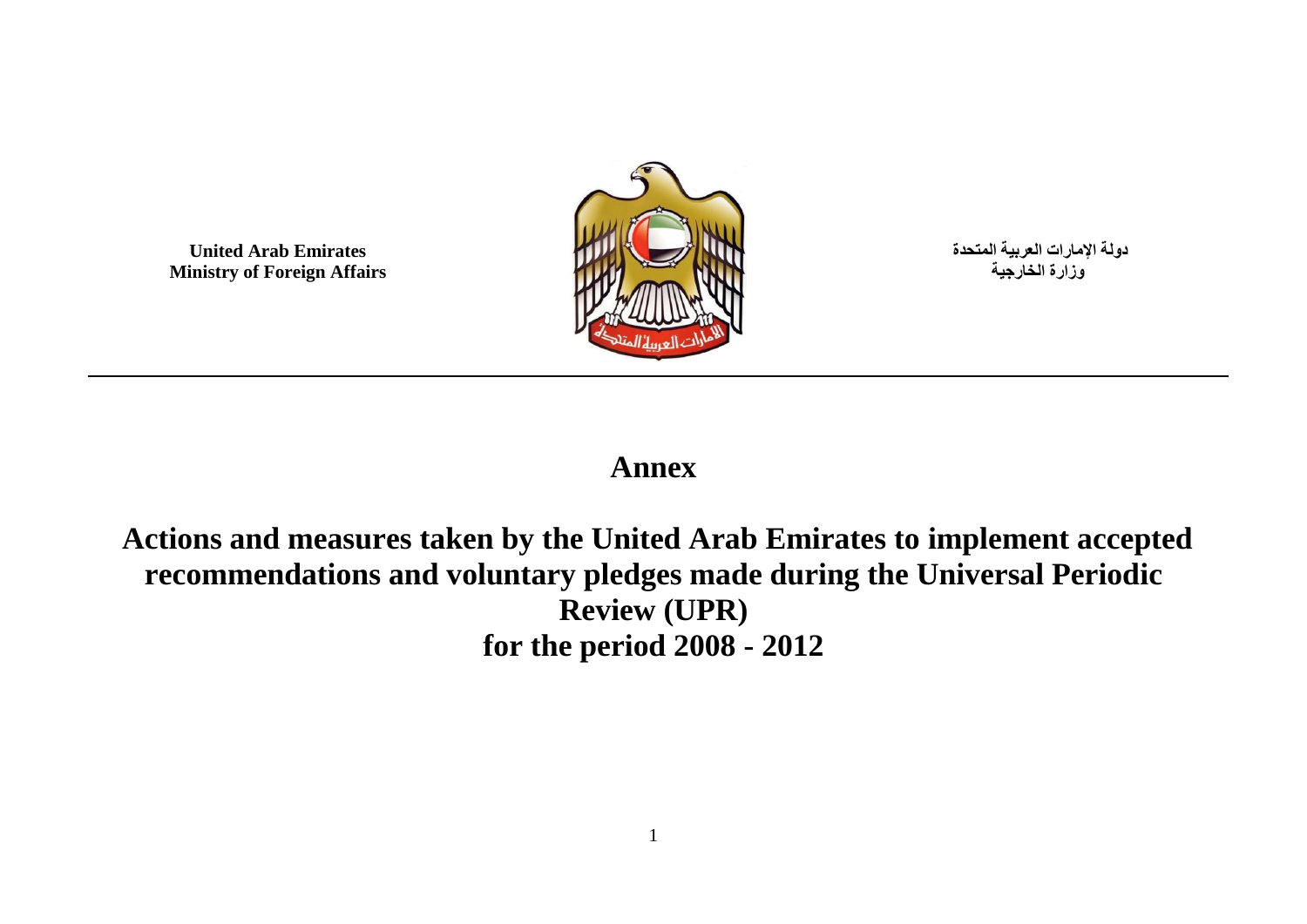**United Arab Emirates Ministry of Foreign Affairs**



**دولة اإلمارات العربية المتحدة وزارة الخارجية**

### **Annex**

### **Actions and measures taken by the United Arab Emirates to implement accepted recommendations and voluntary pledges made during the Universal Periodic Review (UPR) for the period 2008 - 2012**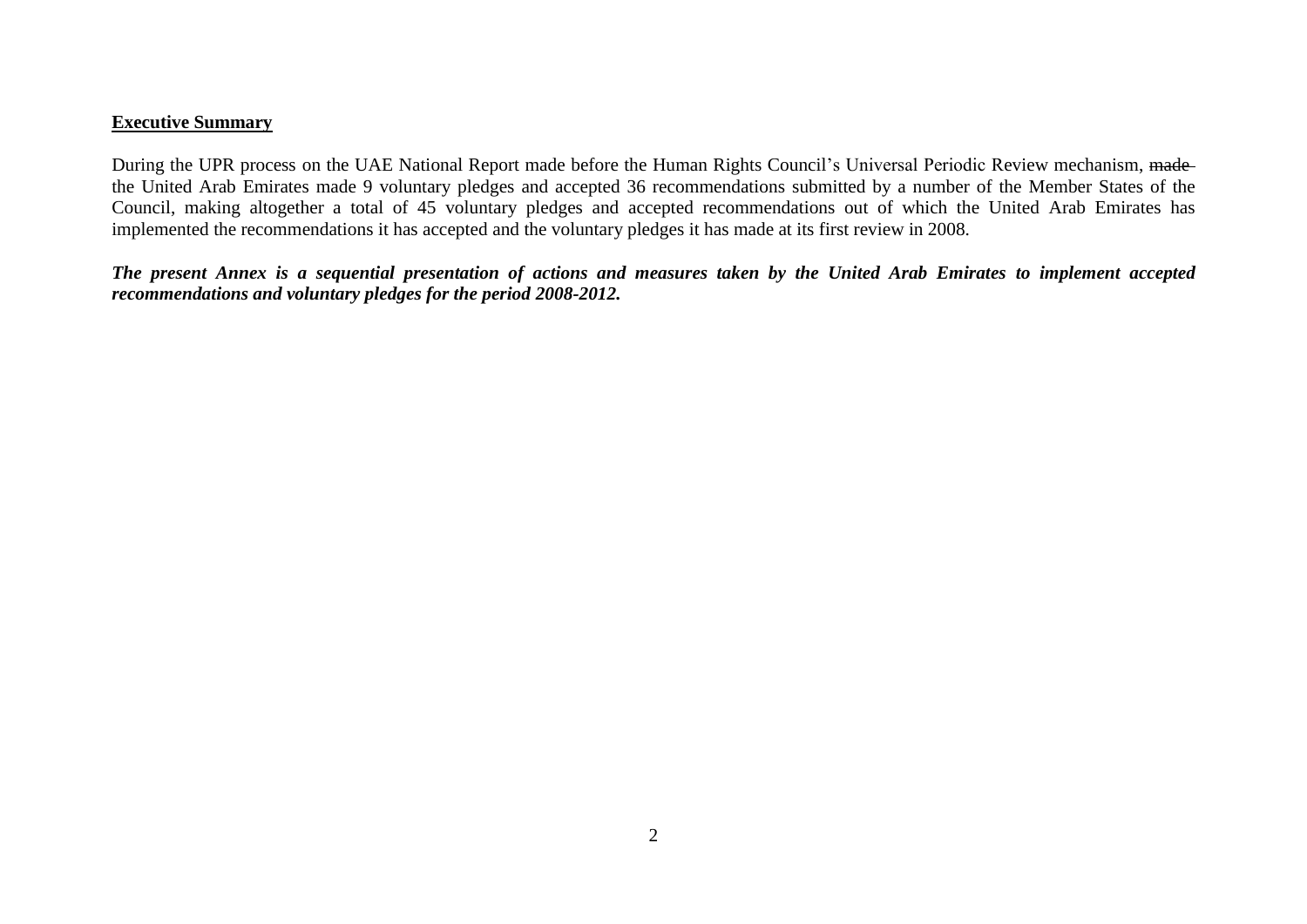#### **Executive Summary**

During the UPR process on the UAE National Report made before the Human Rights Council's Universal Periodic Review mechanism, madethe United Arab Emirates made 9 voluntary pledges and accepted 36 recommendations submitted by a number of the Member States of the Council, making altogether a total of 45 voluntary pledges and accepted recommendations out of which the United Arab Emirates has implemented the recommendations it has accepted and the voluntary pledges it has made at its first review in 2008.

*The present Annex is a sequential presentation of actions and measures taken by the United Arab Emirates to implement accepted recommendations and voluntary pledges for the period 2008-2012.*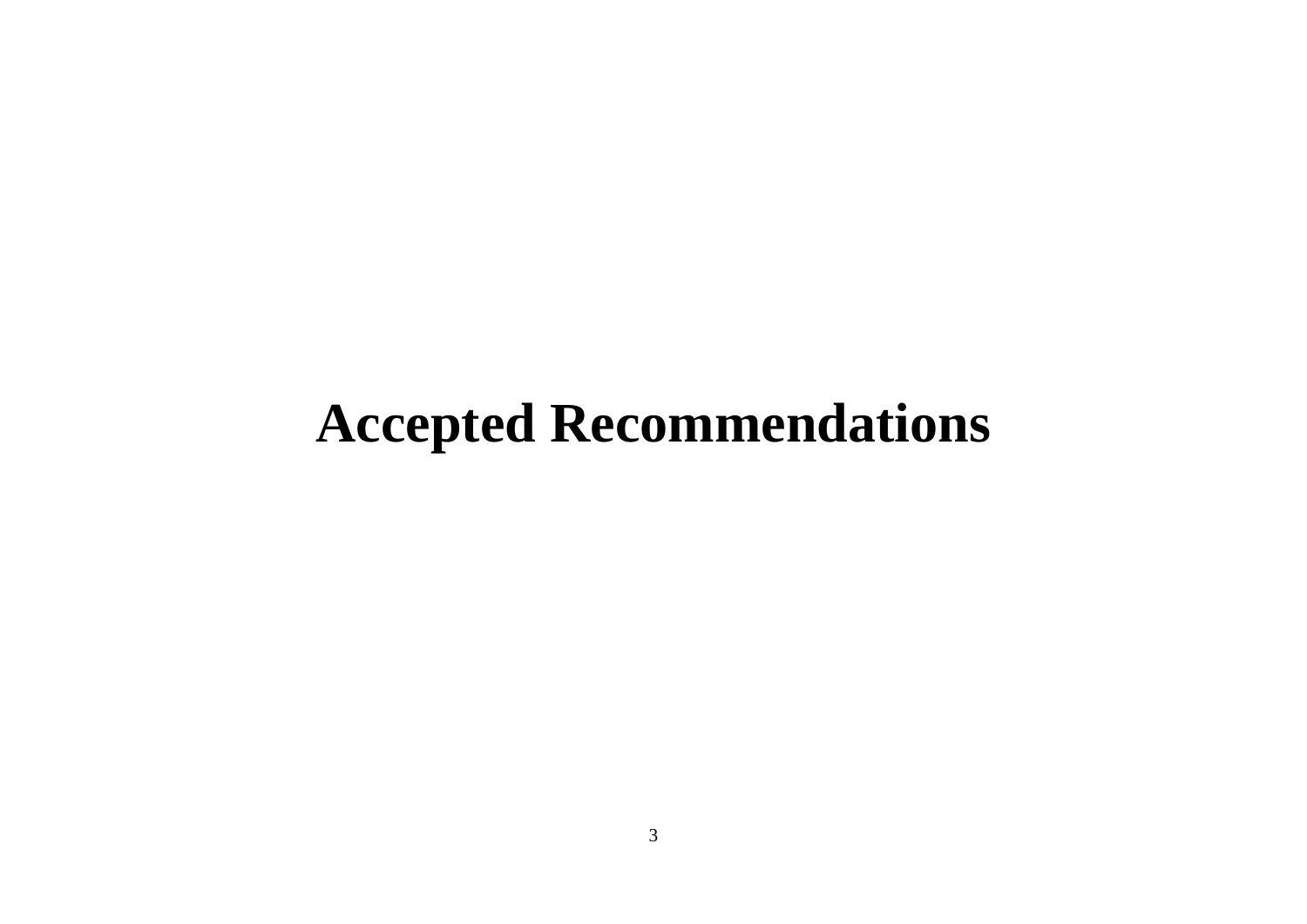## **Accepted Recommendations**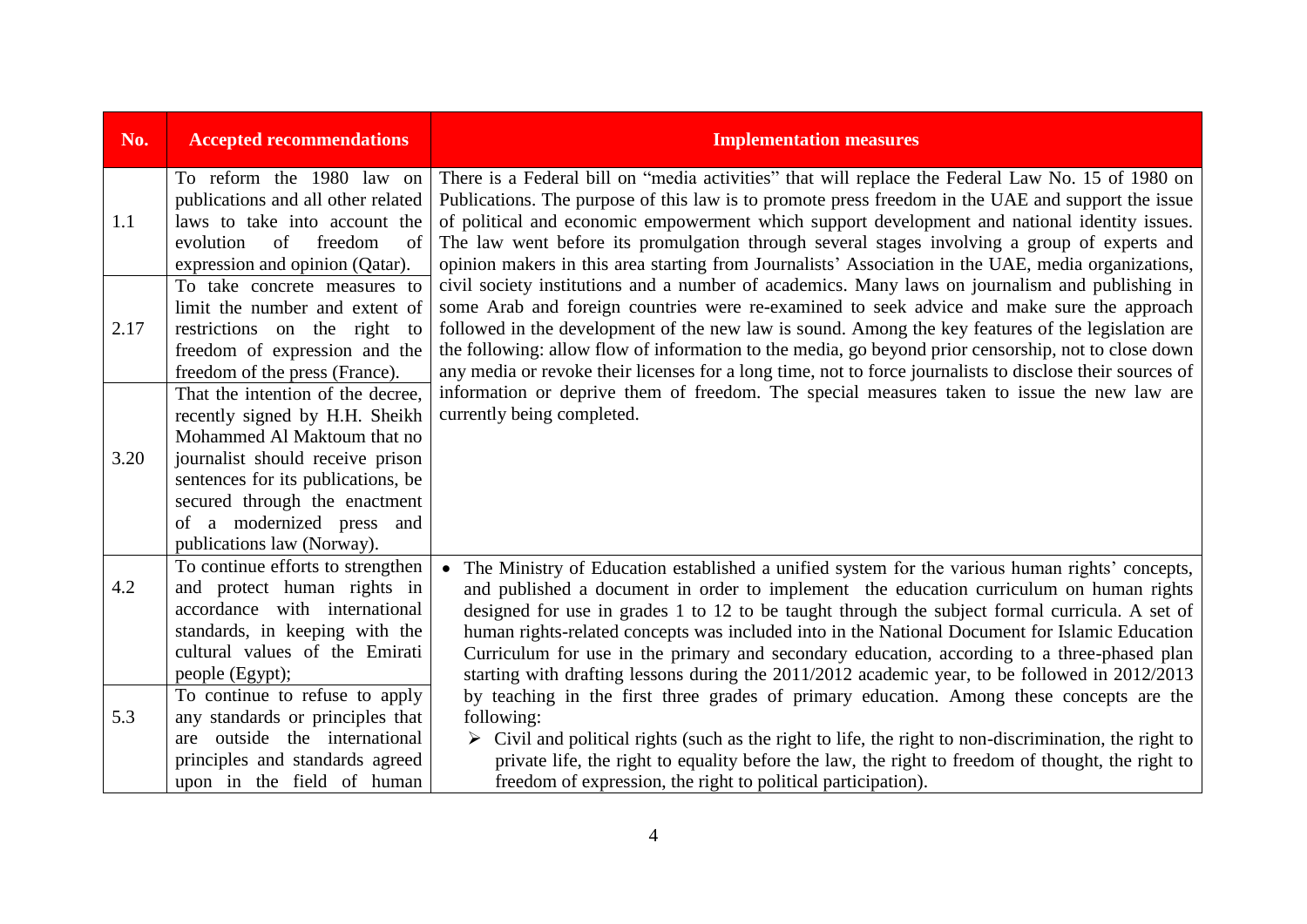| No.  | <b>Accepted recommendations</b>                                                                                                                                                                                                                                          | <b>Implementation measures</b>                                                                                                                                                                                                                                                                                                                                                                                                                                                                                                                                                                 |
|------|--------------------------------------------------------------------------------------------------------------------------------------------------------------------------------------------------------------------------------------------------------------------------|------------------------------------------------------------------------------------------------------------------------------------------------------------------------------------------------------------------------------------------------------------------------------------------------------------------------------------------------------------------------------------------------------------------------------------------------------------------------------------------------------------------------------------------------------------------------------------------------|
| 1.1  | To reform the 1980 law on<br>publications and all other related<br>laws to take into account the<br>of<br>of<br>freedom<br>evolution<br>expression and opinion (Qatar).                                                                                                  | There is a Federal bill on "media activities" that will replace the Federal Law No. 15 of 1980 on<br>Publications. The purpose of this law is to promote press freedom in the UAE and support the issue<br>of political and economic empowerment which support development and national identity issues.<br>The law went before its promulgation through several stages involving a group of experts and<br>opinion makers in this area starting from Journalists' Association in the UAE, media organizations,                                                                                |
| 2.17 | To take concrete measures to<br>limit the number and extent of<br>restrictions on the right to<br>freedom of expression and the<br>freedom of the press (France).                                                                                                        | civil society institutions and a number of academics. Many laws on journalism and publishing in<br>some Arab and foreign countries were re-examined to seek advice and make sure the approach<br>followed in the development of the new law is sound. Among the key features of the legislation are<br>the following: allow flow of information to the media, go beyond prior censorship, not to close down<br>any media or revoke their licenses for a long time, not to force journalists to disclose their sources of                                                                       |
| 3.20 | That the intention of the decree,<br>recently signed by H.H. Sheikh<br>Mohammed Al Maktoum that no<br>journalist should receive prison<br>sentences for its publications, be<br>secured through the enactment<br>of a modernized press and<br>publications law (Norway). | information or deprive them of freedom. The special measures taken to issue the new law are<br>currently being completed.                                                                                                                                                                                                                                                                                                                                                                                                                                                                      |
| 4.2  | To continue efforts to strengthen<br>and protect human rights in<br>accordance with international<br>standards, in keeping with the<br>cultural values of the Emirati<br>people (Egypt);                                                                                 | The Ministry of Education established a unified system for the various human rights' concepts,<br>and published a document in order to implement the education curriculum on human rights<br>designed for use in grades 1 to 12 to be taught through the subject formal curricula. A set of<br>human rights-related concepts was included into in the National Document for Islamic Education<br>Curriculum for use in the primary and secondary education, according to a three-phased plan<br>starting with drafting lessons during the 2011/2012 academic year, to be followed in 2012/2013 |
| 5.3  | To continue to refuse to apply<br>any standards or principles that<br>are outside the international<br>principles and standards agreed<br>upon in the field of human                                                                                                     | by teaching in the first three grades of primary education. Among these concepts are the<br>following:<br>$\triangleright$ Civil and political rights (such as the right to life, the right to non-discrimination, the right to<br>private life, the right to equality before the law, the right to freedom of thought, the right to<br>freedom of expression, the right to political participation).                                                                                                                                                                                          |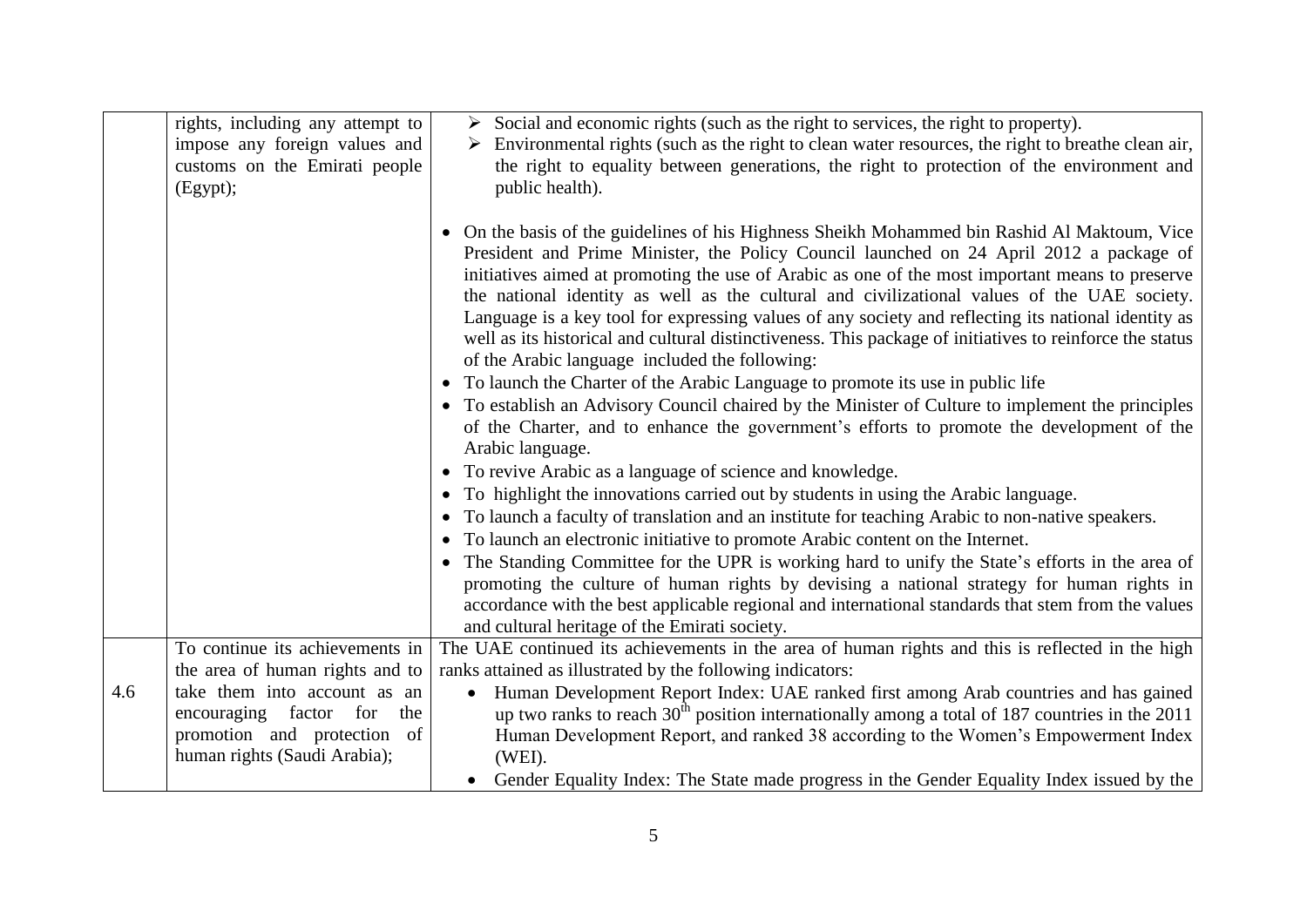|     | rights, including any attempt to<br>impose any foreign values and                            | $\triangleright$ Social and economic rights (such as the right to services, the right to property).<br>$\triangleright$ Environmental rights (such as the right to clean water resources, the right to breathe clean air,                                                                                                                                                                                                                                                                                                                                                                                                                                    |
|-----|----------------------------------------------------------------------------------------------|--------------------------------------------------------------------------------------------------------------------------------------------------------------------------------------------------------------------------------------------------------------------------------------------------------------------------------------------------------------------------------------------------------------------------------------------------------------------------------------------------------------------------------------------------------------------------------------------------------------------------------------------------------------|
|     | customs on the Emirati people<br>(Egypt);                                                    | the right to equality between generations, the right to protection of the environment and<br>public health).                                                                                                                                                                                                                                                                                                                                                                                                                                                                                                                                                 |
|     |                                                                                              | On the basis of the guidelines of his Highness Sheikh Mohammed bin Rashid Al Maktoum, Vice<br>President and Prime Minister, the Policy Council launched on 24 April 2012 a package of<br>initiatives aimed at promoting the use of Arabic as one of the most important means to preserve<br>the national identity as well as the cultural and civilizational values of the UAE society.<br>Language is a key tool for expressing values of any society and reflecting its national identity as<br>well as its historical and cultural distinctiveness. This package of initiatives to reinforce the status<br>of the Arabic language included the following: |
|     |                                                                                              | • To launch the Charter of the Arabic Language to promote its use in public life<br>• To establish an Advisory Council chaired by the Minister of Culture to implement the principles<br>of the Charter, and to enhance the government's efforts to promote the development of the<br>Arabic language.                                                                                                                                                                                                                                                                                                                                                       |
|     |                                                                                              | • To revive Arabic as a language of science and knowledge.                                                                                                                                                                                                                                                                                                                                                                                                                                                                                                                                                                                                   |
|     |                                                                                              | To highlight the innovations carried out by students in using the Arabic language.<br>$\bullet$                                                                                                                                                                                                                                                                                                                                                                                                                                                                                                                                                              |
|     |                                                                                              | To launch a faculty of translation and an institute for teaching Arabic to non-native speakers.<br>$\bullet$                                                                                                                                                                                                                                                                                                                                                                                                                                                                                                                                                 |
|     |                                                                                              | To launch an electronic initiative to promote Arabic content on the Internet.<br>$\bullet$                                                                                                                                                                                                                                                                                                                                                                                                                                                                                                                                                                   |
|     |                                                                                              | The Standing Committee for the UPR is working hard to unify the State's efforts in the area of<br>$\bullet$<br>promoting the culture of human rights by devising a national strategy for human rights in<br>accordance with the best applicable regional and international standards that stem from the values<br>and cultural heritage of the Emirati society.                                                                                                                                                                                                                                                                                              |
|     | To continue its achievements in                                                              | The UAE continued its achievements in the area of human rights and this is reflected in the high                                                                                                                                                                                                                                                                                                                                                                                                                                                                                                                                                             |
|     | the area of human rights and to                                                              | ranks attained as illustrated by the following indicators:                                                                                                                                                                                                                                                                                                                                                                                                                                                                                                                                                                                                   |
| 4.6 | take them into account as an<br>encouraging factor for<br>the<br>promotion and protection of | Human Development Report Index: UAE ranked first among Arab countries and has gained<br>up two ranks to reach $30th$ position internationally among a total of 187 countries in the 2011<br>Human Development Report, and ranked 38 according to the Women's Empowerment Index                                                                                                                                                                                                                                                                                                                                                                               |
|     | human rights (Saudi Arabia);                                                                 | (WEI).                                                                                                                                                                                                                                                                                                                                                                                                                                                                                                                                                                                                                                                       |
|     |                                                                                              | • Gender Equality Index: The State made progress in the Gender Equality Index issued by the                                                                                                                                                                                                                                                                                                                                                                                                                                                                                                                                                                  |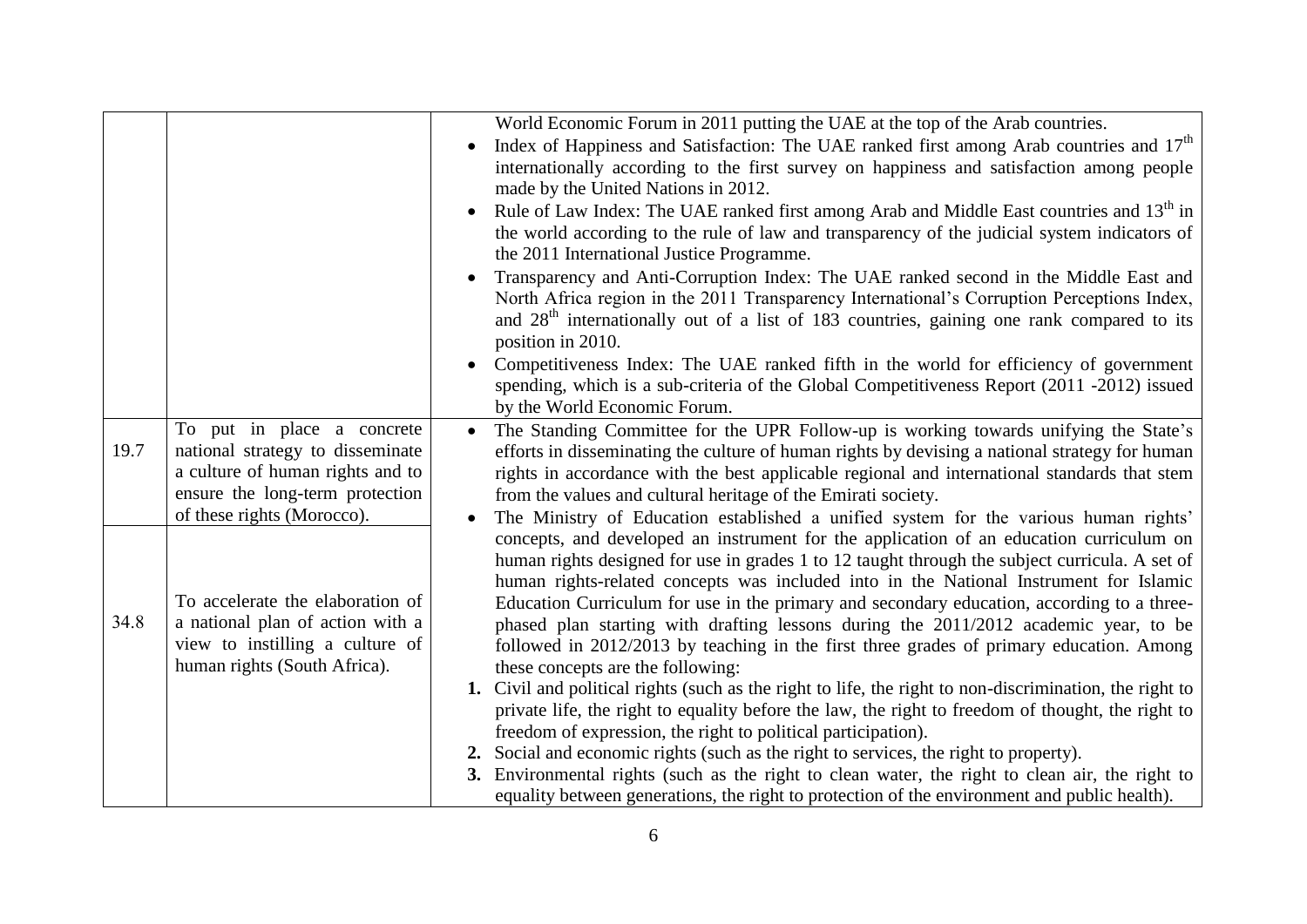|      |                                                                                                                                       | World Economic Forum in 2011 putting the UAE at the top of the Arab countries.<br>Index of Happiness and Satisfaction: The UAE ranked first among Arab countries and 17 <sup>th</sup><br>internationally according to the first survey on happiness and satisfaction among people<br>made by the United Nations in 2012.                                                                                                                                                                                                                                          |
|------|---------------------------------------------------------------------------------------------------------------------------------------|-------------------------------------------------------------------------------------------------------------------------------------------------------------------------------------------------------------------------------------------------------------------------------------------------------------------------------------------------------------------------------------------------------------------------------------------------------------------------------------------------------------------------------------------------------------------|
|      |                                                                                                                                       | Rule of Law Index: The UAE ranked first among Arab and Middle East countries and 13 <sup>th</sup> in<br>the world according to the rule of law and transparency of the judicial system indicators of<br>the 2011 International Justice Programme.                                                                                                                                                                                                                                                                                                                 |
|      |                                                                                                                                       | Transparency and Anti-Corruption Index: The UAE ranked second in the Middle East and<br>North Africa region in the 2011 Transparency International's Corruption Perceptions Index,<br>and 28 <sup>th</sup> internationally out of a list of 183 countries, gaining one rank compared to its<br>position in 2010.                                                                                                                                                                                                                                                  |
|      |                                                                                                                                       | Competitiveness Index: The UAE ranked fifth in the world for efficiency of government<br>spending, which is a sub-criteria of the Global Competitiveness Report (2011 -2012) issued<br>by the World Economic Forum.                                                                                                                                                                                                                                                                                                                                               |
| 19.7 | To put in place a concrete<br>national strategy to disseminate<br>a culture of human rights and to<br>ensure the long-term protection | The Standing Committee for the UPR Follow-up is working towards unifying the State's<br>efforts in disseminating the culture of human rights by devising a national strategy for human<br>rights in accordance with the best applicable regional and international standards that stem<br>from the values and cultural heritage of the Emirati society.                                                                                                                                                                                                           |
| 34.8 | of these rights (Morocco).<br>To accelerate the elaboration of<br>a national plan of action with a                                    | The Ministry of Education established a unified system for the various human rights'<br>concepts, and developed an instrument for the application of an education curriculum on<br>human rights designed for use in grades 1 to 12 taught through the subject curricula. A set of<br>human rights-related concepts was included into in the National Instrument for Islamic<br>Education Curriculum for use in the primary and secondary education, according to a three-<br>phased plan starting with drafting lessons during the 2011/2012 academic year, to be |
|      | view to instilling a culture of<br>human rights (South Africa).                                                                       | followed in 2012/2013 by teaching in the first three grades of primary education. Among<br>these concepts are the following:<br>1. Civil and political rights (such as the right to life, the right to non-discrimination, the right to<br>private life, the right to equality before the law, the right to freedom of thought, the right to<br>freedom of expression, the right to political participation).                                                                                                                                                     |
|      |                                                                                                                                       | 2. Social and economic rights (such as the right to services, the right to property).<br>3. Environmental rights (such as the right to clean water, the right to clean air, the right to<br>equality between generations, the right to protection of the environment and public health).                                                                                                                                                                                                                                                                          |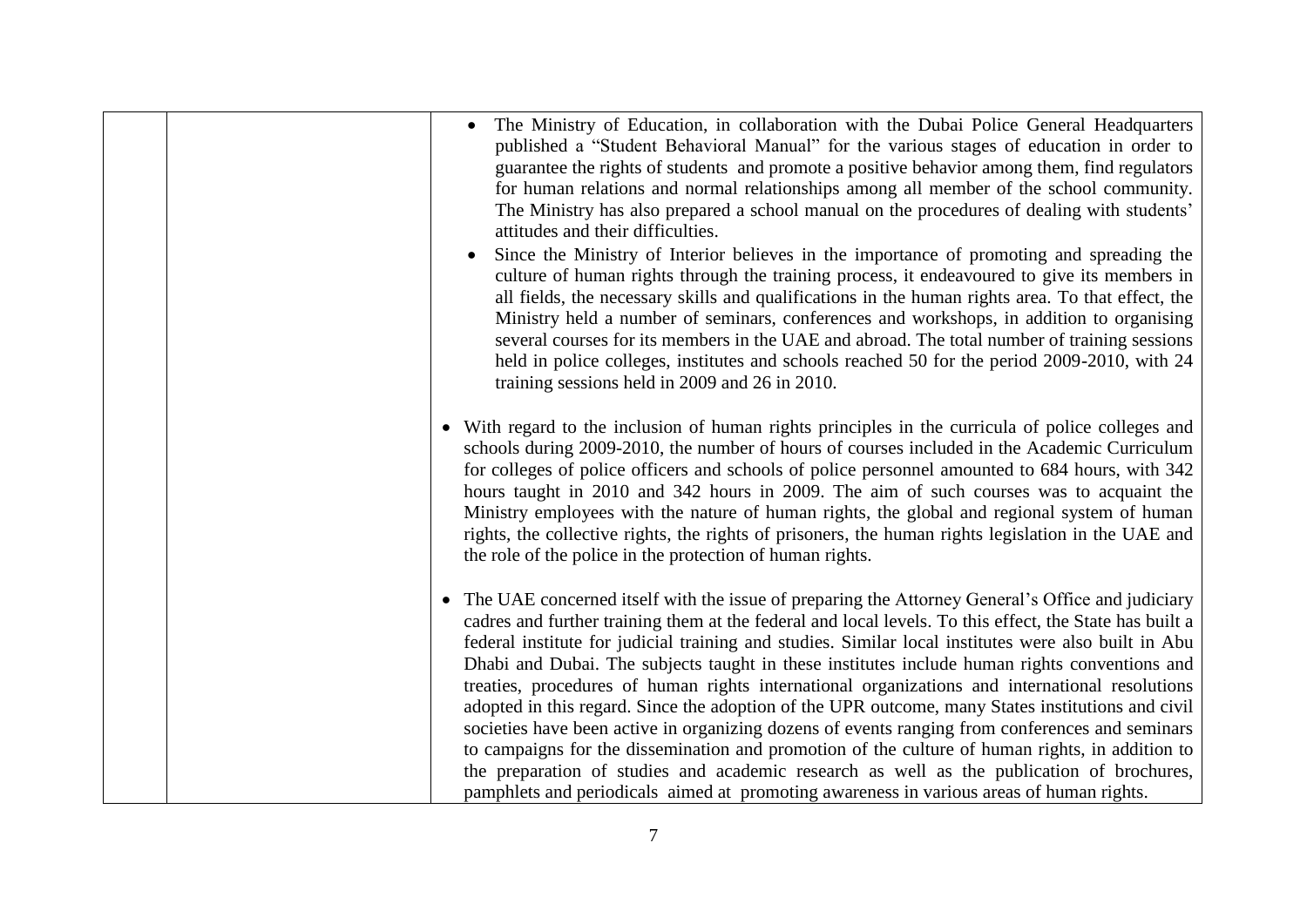| The Ministry of Education, in collaboration with the Dubai Police General Headquarters<br>published a "Student Behavioral Manual" for the various stages of education in order to<br>guarantee the rights of students and promote a positive behavior among them, find regulators<br>for human relations and normal relationships among all member of the school community.<br>The Ministry has also prepared a school manual on the procedures of dealing with students'<br>attitudes and their difficulties.                                                                                                                                                                                                                                                                                                                                                                                                                                                                                                                          |
|-----------------------------------------------------------------------------------------------------------------------------------------------------------------------------------------------------------------------------------------------------------------------------------------------------------------------------------------------------------------------------------------------------------------------------------------------------------------------------------------------------------------------------------------------------------------------------------------------------------------------------------------------------------------------------------------------------------------------------------------------------------------------------------------------------------------------------------------------------------------------------------------------------------------------------------------------------------------------------------------------------------------------------------------|
| Since the Ministry of Interior believes in the importance of promoting and spreading the<br>culture of human rights through the training process, it endeavoured to give its members in<br>all fields, the necessary skills and qualifications in the human rights area. To that effect, the<br>Ministry held a number of seminars, conferences and workshops, in addition to organising<br>several courses for its members in the UAE and abroad. The total number of training sessions<br>held in police colleges, institutes and schools reached 50 for the period 2009-2010, with 24<br>training sessions held in 2009 and 26 in 2010.                                                                                                                                                                                                                                                                                                                                                                                              |
| • With regard to the inclusion of human rights principles in the curricula of police colleges and<br>schools during 2009-2010, the number of hours of courses included in the Academic Curriculum<br>for colleges of police officers and schools of police personnel amounted to 684 hours, with 342<br>hours taught in 2010 and 342 hours in 2009. The aim of such courses was to acquaint the<br>Ministry employees with the nature of human rights, the global and regional system of human<br>rights, the collective rights, the rights of prisoners, the human rights legislation in the UAE and<br>the role of the police in the protection of human rights.                                                                                                                                                                                                                                                                                                                                                                      |
| The UAE concerned itself with the issue of preparing the Attorney General's Office and judiciary<br>$\bullet$<br>cadres and further training them at the federal and local levels. To this effect, the State has built a<br>federal institute for judicial training and studies. Similar local institutes were also built in Abu<br>Dhabi and Dubai. The subjects taught in these institutes include human rights conventions and<br>treaties, procedures of human rights international organizations and international resolutions<br>adopted in this regard. Since the adoption of the UPR outcome, many States institutions and civil<br>societies have been active in organizing dozens of events ranging from conferences and seminars<br>to campaigns for the dissemination and promotion of the culture of human rights, in addition to<br>the preparation of studies and academic research as well as the publication of brochures,<br>pamphlets and periodicals aimed at promoting awareness in various areas of human rights. |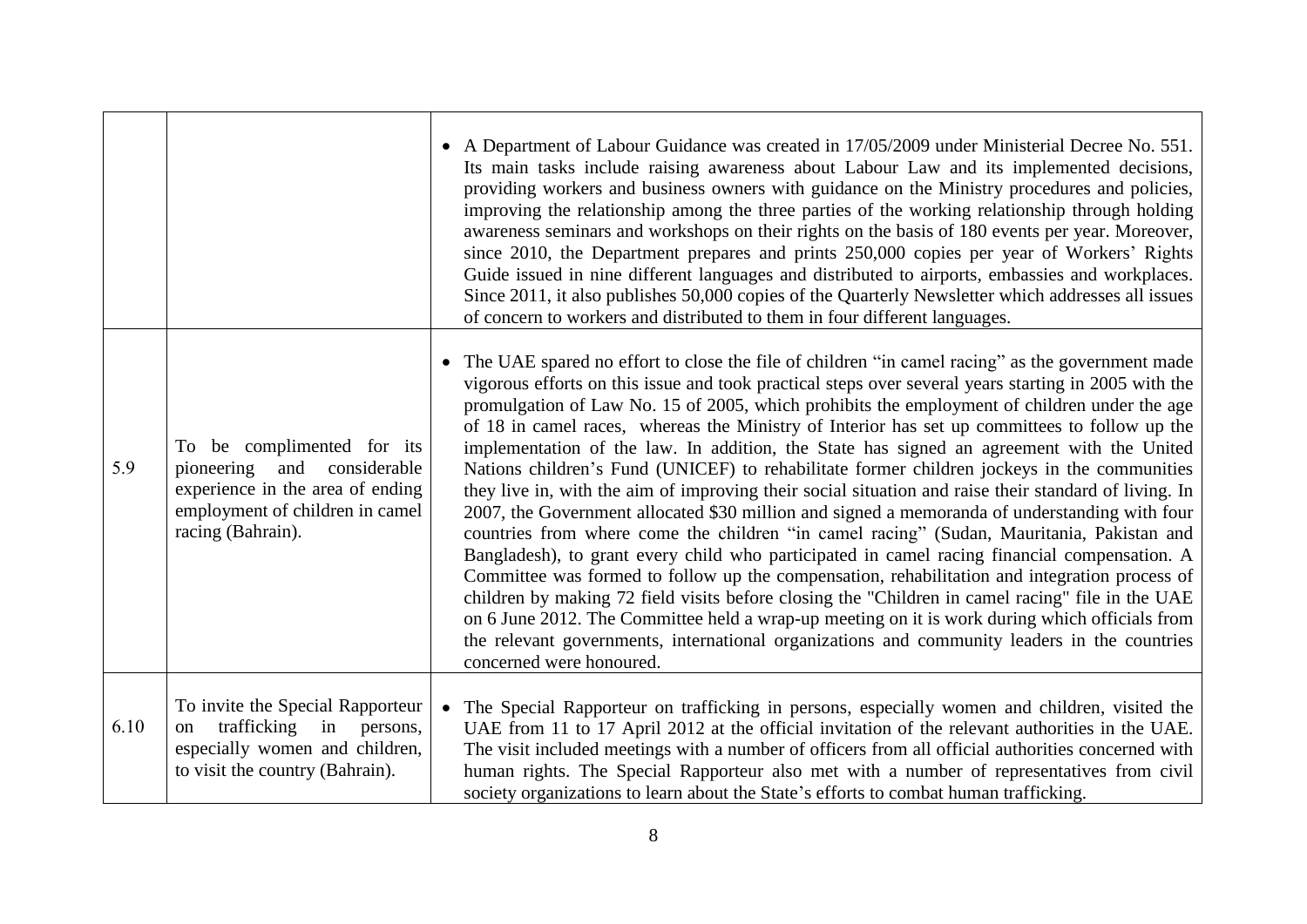|      |                                                                                                                                                             | • A Department of Labour Guidance was created in 17/05/2009 under Ministerial Decree No. 551.<br>Its main tasks include raising awareness about Labour Law and its implemented decisions,<br>providing workers and business owners with guidance on the Ministry procedures and policies,<br>improving the relationship among the three parties of the working relationship through holding<br>awareness seminars and workshops on their rights on the basis of 180 events per year. Moreover,<br>since 2010, the Department prepares and prints 250,000 copies per year of Workers' Rights<br>Guide issued in nine different languages and distributed to airports, embassies and workplaces.<br>Since 2011, it also publishes 50,000 copies of the Quarterly Newsletter which addresses all issues<br>of concern to workers and distributed to them in four different languages.                                                                                                                                                                                                                                                                                                                                                                                                                                                                                                                                                               |
|------|-------------------------------------------------------------------------------------------------------------------------------------------------------------|--------------------------------------------------------------------------------------------------------------------------------------------------------------------------------------------------------------------------------------------------------------------------------------------------------------------------------------------------------------------------------------------------------------------------------------------------------------------------------------------------------------------------------------------------------------------------------------------------------------------------------------------------------------------------------------------------------------------------------------------------------------------------------------------------------------------------------------------------------------------------------------------------------------------------------------------------------------------------------------------------------------------------------------------------------------------------------------------------------------------------------------------------------------------------------------------------------------------------------------------------------------------------------------------------------------------------------------------------------------------------------------------------------------------------------------------------|
| 5.9  | To be complimented for its<br>and<br>pioneering<br>considerable<br>experience in the area of ending<br>employment of children in camel<br>racing (Bahrain). | • The UAE spared no effort to close the file of children "in camel racing" as the government made<br>vigorous efforts on this issue and took practical steps over several years starting in 2005 with the<br>promulgation of Law No. 15 of 2005, which prohibits the employment of children under the age<br>of 18 in camel races, whereas the Ministry of Interior has set up committees to follow up the<br>implementation of the law. In addition, the State has signed an agreement with the United<br>Nations children's Fund (UNICEF) to rehabilitate former children jockeys in the communities<br>they live in, with the aim of improving their social situation and raise their standard of living. In<br>2007, the Government allocated \$30 million and signed a memoranda of understanding with four<br>countries from where come the children "in camel racing" (Sudan, Mauritania, Pakistan and<br>Bangladesh), to grant every child who participated in camel racing financial compensation. A<br>Committee was formed to follow up the compensation, rehabilitation and integration process of<br>children by making 72 field visits before closing the "Children in camel racing" file in the UAE<br>on 6 June 2012. The Committee held a wrap-up meeting on it is work during which officials from<br>the relevant governments, international organizations and community leaders in the countries<br>concerned were honoured. |
| 6.10 | To invite the Special Rapporteur<br>trafficking<br>in<br>on<br>persons,<br>especially women and children,<br>to visit the country (Bahrain).                | • The Special Rapporteur on trafficking in persons, especially women and children, visited the<br>UAE from 11 to 17 April 2012 at the official invitation of the relevant authorities in the UAE.<br>The visit included meetings with a number of officers from all official authorities concerned with<br>human rights. The Special Rapporteur also met with a number of representatives from civil<br>society organizations to learn about the State's efforts to combat human trafficking.                                                                                                                                                                                                                                                                                                                                                                                                                                                                                                                                                                                                                                                                                                                                                                                                                                                                                                                                                    |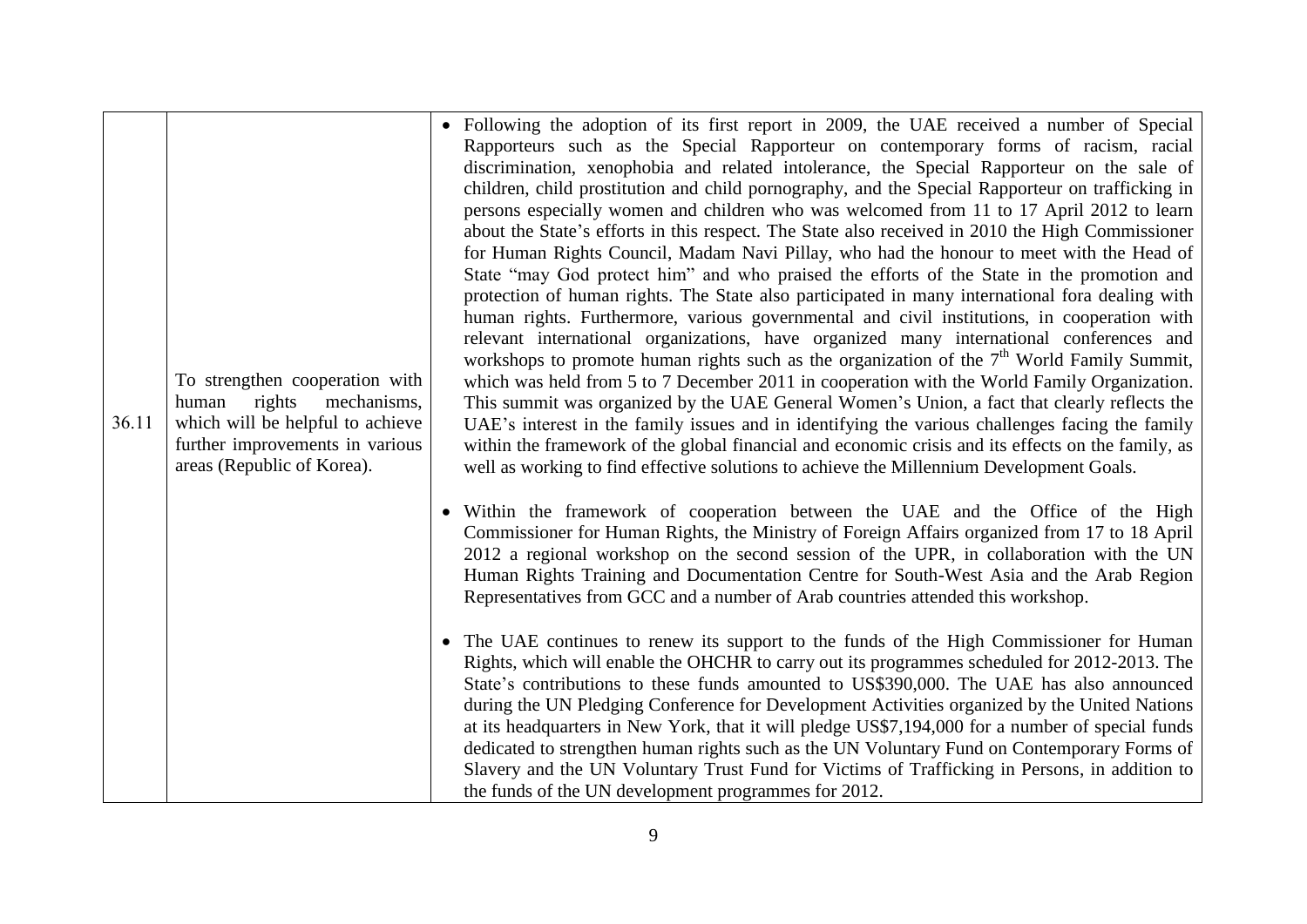| 36.11 | To strengthen cooperation with<br>rights<br>mechanisms,<br>human<br>which will be helpful to achieve<br>further improvements in various<br>areas (Republic of Korea). | • Following the adoption of its first report in 2009, the UAE received a number of Special<br>Rapporteurs such as the Special Rapporteur on contemporary forms of racism, racial<br>discrimination, xenophobia and related intolerance, the Special Rapporteur on the sale of<br>children, child prostitution and child pornography, and the Special Rapporteur on trafficking in<br>persons especially women and children who was welcomed from 11 to 17 April 2012 to learn<br>about the State's efforts in this respect. The State also received in 2010 the High Commissioner<br>for Human Rights Council, Madam Navi Pillay, who had the honour to meet with the Head of<br>State "may God protect him" and who praised the efforts of the State in the promotion and<br>protection of human rights. The State also participated in many international fora dealing with<br>human rights. Furthermore, various governmental and civil institutions, in cooperation with<br>relevant international organizations, have organized many international conferences and<br>workshops to promote human rights such as the organization of the 7 <sup>th</sup> World Family Summit,<br>which was held from 5 to 7 December 2011 in cooperation with the World Family Organization.<br>This summit was organized by the UAE General Women's Union, a fact that clearly reflects the<br>UAE's interest in the family issues and in identifying the various challenges facing the family<br>within the framework of the global financial and economic crisis and its effects on the family, as<br>well as working to find effective solutions to achieve the Millennium Development Goals. |
|-------|-----------------------------------------------------------------------------------------------------------------------------------------------------------------------|---------------------------------------------------------------------------------------------------------------------------------------------------------------------------------------------------------------------------------------------------------------------------------------------------------------------------------------------------------------------------------------------------------------------------------------------------------------------------------------------------------------------------------------------------------------------------------------------------------------------------------------------------------------------------------------------------------------------------------------------------------------------------------------------------------------------------------------------------------------------------------------------------------------------------------------------------------------------------------------------------------------------------------------------------------------------------------------------------------------------------------------------------------------------------------------------------------------------------------------------------------------------------------------------------------------------------------------------------------------------------------------------------------------------------------------------------------------------------------------------------------------------------------------------------------------------------------------------------------------------------------------------------------------------------------------|
|       |                                                                                                                                                                       | Within the framework of cooperation between the UAE and the Office of the High<br>$\bullet$<br>Commissioner for Human Rights, the Ministry of Foreign Affairs organized from 17 to 18 April<br>2012 a regional workshop on the second session of the UPR, in collaboration with the UN<br>Human Rights Training and Documentation Centre for South-West Asia and the Arab Region<br>Representatives from GCC and a number of Arab countries attended this workshop.                                                                                                                                                                                                                                                                                                                                                                                                                                                                                                                                                                                                                                                                                                                                                                                                                                                                                                                                                                                                                                                                                                                                                                                                                   |
|       |                                                                                                                                                                       | The UAE continues to renew its support to the funds of the High Commissioner for Human<br>$\bullet$<br>Rights, which will enable the OHCHR to carry out its programmes scheduled for 2012-2013. The<br>State's contributions to these funds amounted to US\$390,000. The UAE has also announced<br>during the UN Pledging Conference for Development Activities organized by the United Nations<br>at its headquarters in New York, that it will pledge US\$7,194,000 for a number of special funds<br>dedicated to strengthen human rights such as the UN Voluntary Fund on Contemporary Forms of<br>Slavery and the UN Voluntary Trust Fund for Victims of Trafficking in Persons, in addition to<br>the funds of the UN development programmes for 2012.                                                                                                                                                                                                                                                                                                                                                                                                                                                                                                                                                                                                                                                                                                                                                                                                                                                                                                                           |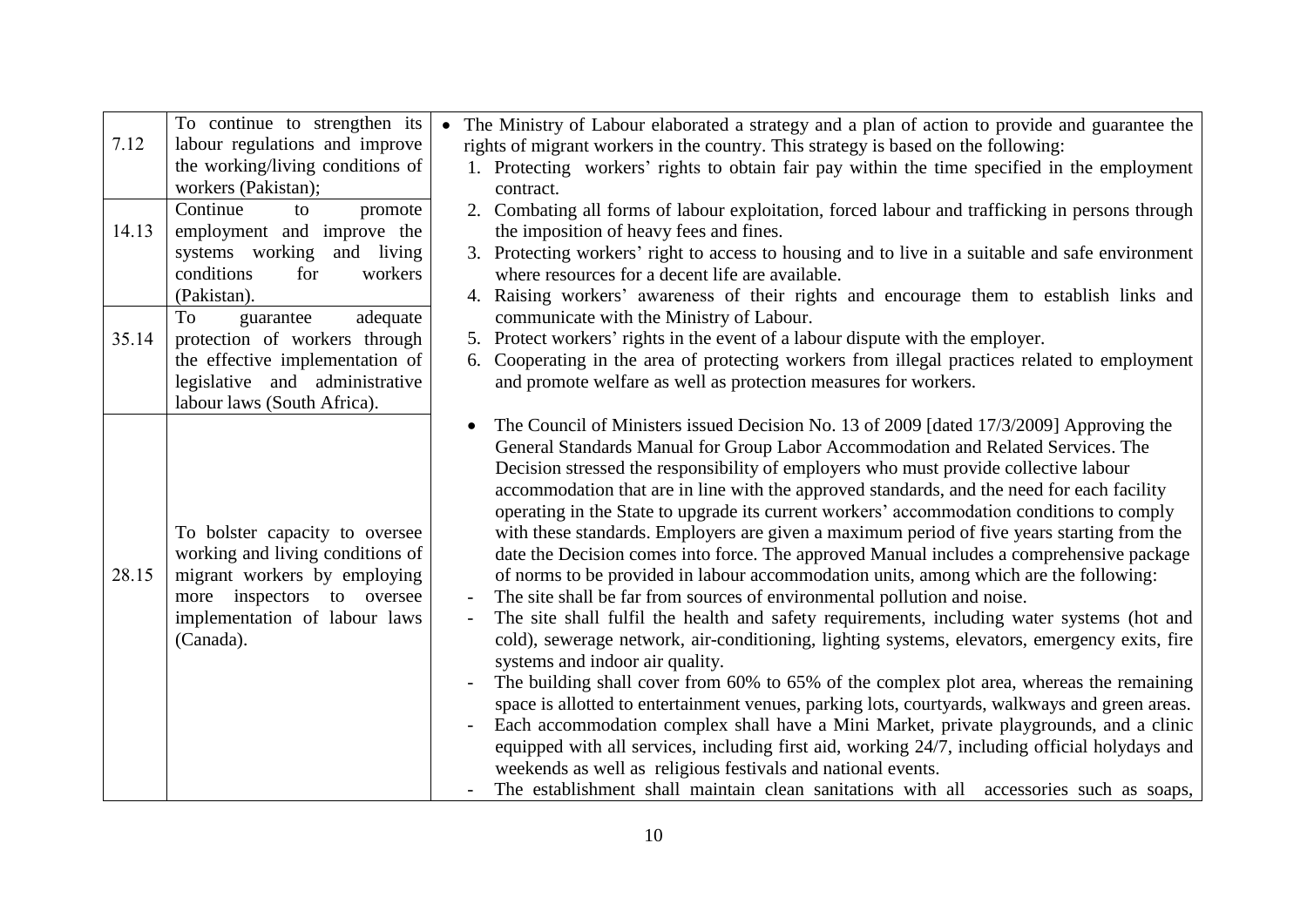|       | To continue to strengthen its    | The Ministry of Labour elaborated a strategy and a plan of action to provide and guarantee the   |
|-------|----------------------------------|--------------------------------------------------------------------------------------------------|
| 7.12  | labour regulations and improve   | rights of migrant workers in the country. This strategy is based on the following:               |
|       | the working/living conditions of | 1. Protecting workers' rights to obtain fair pay within the time specified in the employment     |
|       | workers (Pakistan);              | contract.                                                                                        |
|       | Continue<br>to<br>promote        | 2. Combating all forms of labour exploitation, forced labour and trafficking in persons through  |
| 14.13 | employment and improve the       | the imposition of heavy fees and fines.                                                          |
|       | systems working and living       | 3. Protecting workers' right to access to housing and to live in a suitable and safe environment |
|       | conditions<br>workers<br>for     | where resources for a decent life are available.                                                 |
|       | (Pakistan).                      | 4. Raising workers' awareness of their rights and encourage them to establish links and          |
|       | To<br>adequate<br>guarantee      | communicate with the Ministry of Labour.                                                         |
| 35.14 | protection of workers through    | 5. Protect workers' rights in the event of a labour dispute with the employer.                   |
|       | the effective implementation of  | 6. Cooperating in the area of protecting workers from illegal practices related to employment    |
|       | legislative and administrative   | and promote welfare as well as protection measures for workers.                                  |
|       | labour laws (South Africa).      |                                                                                                  |
|       |                                  | The Council of Ministers issued Decision No. 13 of 2009 [dated 17/3/2009] Approving the          |
|       |                                  | General Standards Manual for Group Labor Accommodation and Related Services. The                 |
|       |                                  | Decision stressed the responsibility of employers who must provide collective labour             |
|       |                                  | accommodation that are in line with the approved standards, and the need for each facility       |
|       |                                  | operating in the State to upgrade its current workers' accommodation conditions to comply        |
|       | To bolster capacity to oversee   | with these standards. Employers are given a maximum period of five years starting from the       |
|       | working and living conditions of | date the Decision comes into force. The approved Manual includes a comprehensive package         |
| 28.15 | migrant workers by employing     | of norms to be provided in labour accommodation units, among which are the following:            |
|       | more inspectors to oversee       | The site shall be far from sources of environmental pollution and noise.                         |
|       | implementation of labour laws    | The site shall fulfil the health and safety requirements, including water systems (hot and       |
|       | (Canada).                        | cold), sewerage network, air-conditioning, lighting systems, elevators, emergency exits, fire    |
|       |                                  | systems and indoor air quality.                                                                  |
|       |                                  | The building shall cover from 60% to 65% of the complex plot area, whereas the remaining         |
|       |                                  | space is allotted to entertainment venues, parking lots, courtyards, walkways and green areas.   |
|       |                                  | Each accommodation complex shall have a Mini Market, private playgrounds, and a clinic           |
|       |                                  | equipped with all services, including first aid, working 24/7, including official holydays and   |
|       |                                  | weekends as well as religious festivals and national events.                                     |
|       |                                  | The establishment shall maintain clean sanitations with all accessories such as soaps,           |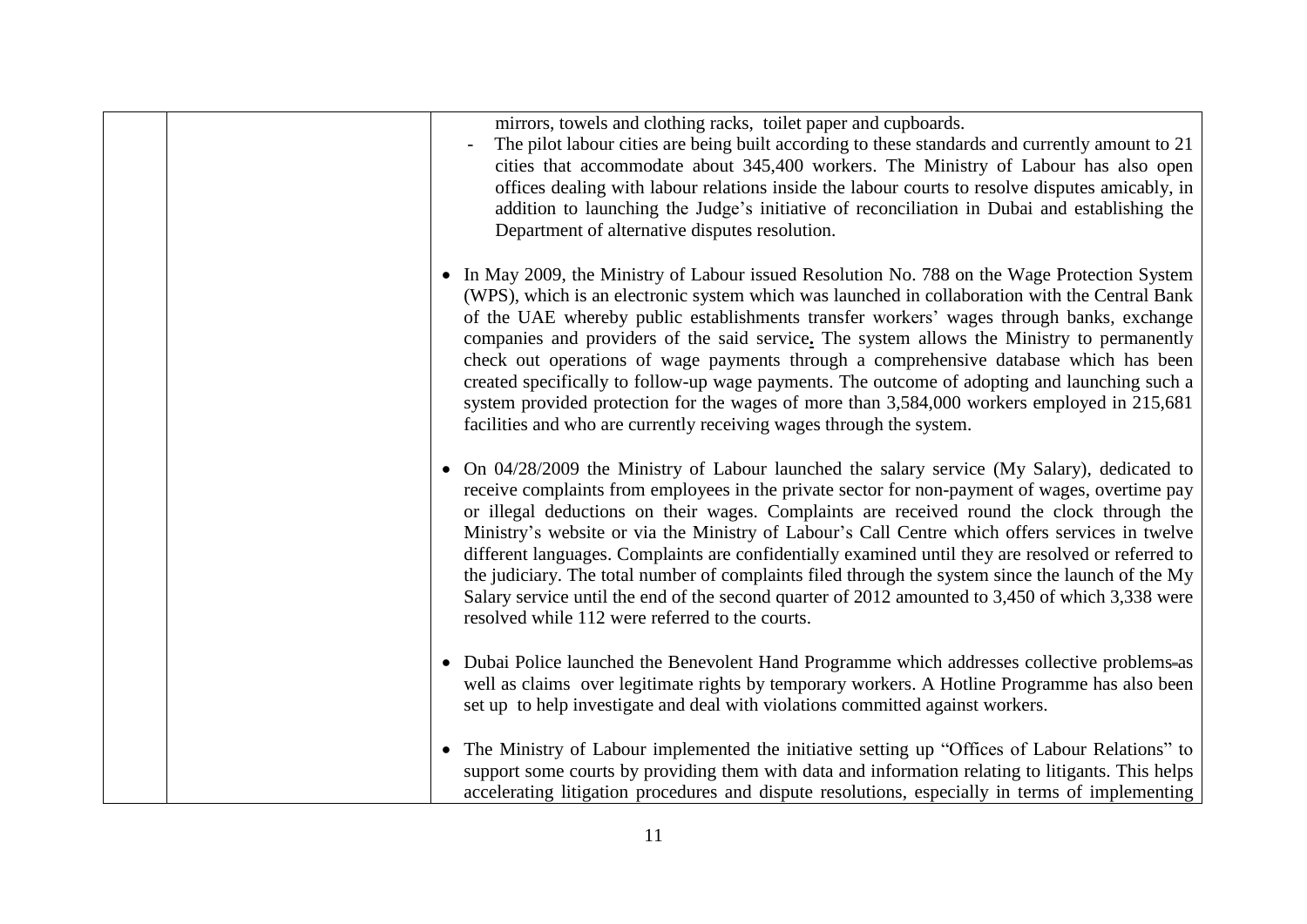|  | mirrors, towels and clothing racks, toilet paper and cupboards.<br>The pilot labour cities are being built according to these standards and currently amount to 21<br>cities that accommodate about 345,400 workers. The Ministry of Labour has also open<br>offices dealing with labour relations inside the labour courts to resolve disputes amicably, in<br>addition to launching the Judge's initiative of reconciliation in Dubai and establishing the<br>Department of alternative disputes resolution.                                                                                                                                                                                                                                                  |
|--|-----------------------------------------------------------------------------------------------------------------------------------------------------------------------------------------------------------------------------------------------------------------------------------------------------------------------------------------------------------------------------------------------------------------------------------------------------------------------------------------------------------------------------------------------------------------------------------------------------------------------------------------------------------------------------------------------------------------------------------------------------------------|
|  | • In May 2009, the Ministry of Labour issued Resolution No. 788 on the Wage Protection System<br>(WPS), which is an electronic system which was launched in collaboration with the Central Bank<br>of the UAE whereby public establishments transfer workers' wages through banks, exchange<br>companies and providers of the said service. The system allows the Ministry to permanently<br>check out operations of wage payments through a comprehensive database which has been<br>created specifically to follow-up wage payments. The outcome of adopting and launching such a<br>system provided protection for the wages of more than 3,584,000 workers employed in 215,681<br>facilities and who are currently receiving wages through the system.      |
|  | • On 04/28/2009 the Ministry of Labour launched the salary service (My Salary), dedicated to<br>receive complaints from employees in the private sector for non-payment of wages, overtime pay<br>or illegal deductions on their wages. Complaints are received round the clock through the<br>Ministry's website or via the Ministry of Labour's Call Centre which offers services in twelve<br>different languages. Complaints are confidentially examined until they are resolved or referred to<br>the judiciary. The total number of complaints filed through the system since the launch of the My<br>Salary service until the end of the second quarter of 2012 amounted to 3,450 of which 3,338 were<br>resolved while 112 were referred to the courts. |
|  | • Dubai Police launched the Benevolent Hand Programme which addresses collective problems-as<br>well as claims over legitimate rights by temporary workers. A Hotline Programme has also been<br>set up to help investigate and deal with violations committed against workers.                                                                                                                                                                                                                                                                                                                                                                                                                                                                                 |
|  | • The Ministry of Labour implemented the initiative setting up "Offices of Labour Relations" to<br>support some courts by providing them with data and information relating to litigants. This helps<br>accelerating litigation procedures and dispute resolutions, especially in terms of implementing                                                                                                                                                                                                                                                                                                                                                                                                                                                         |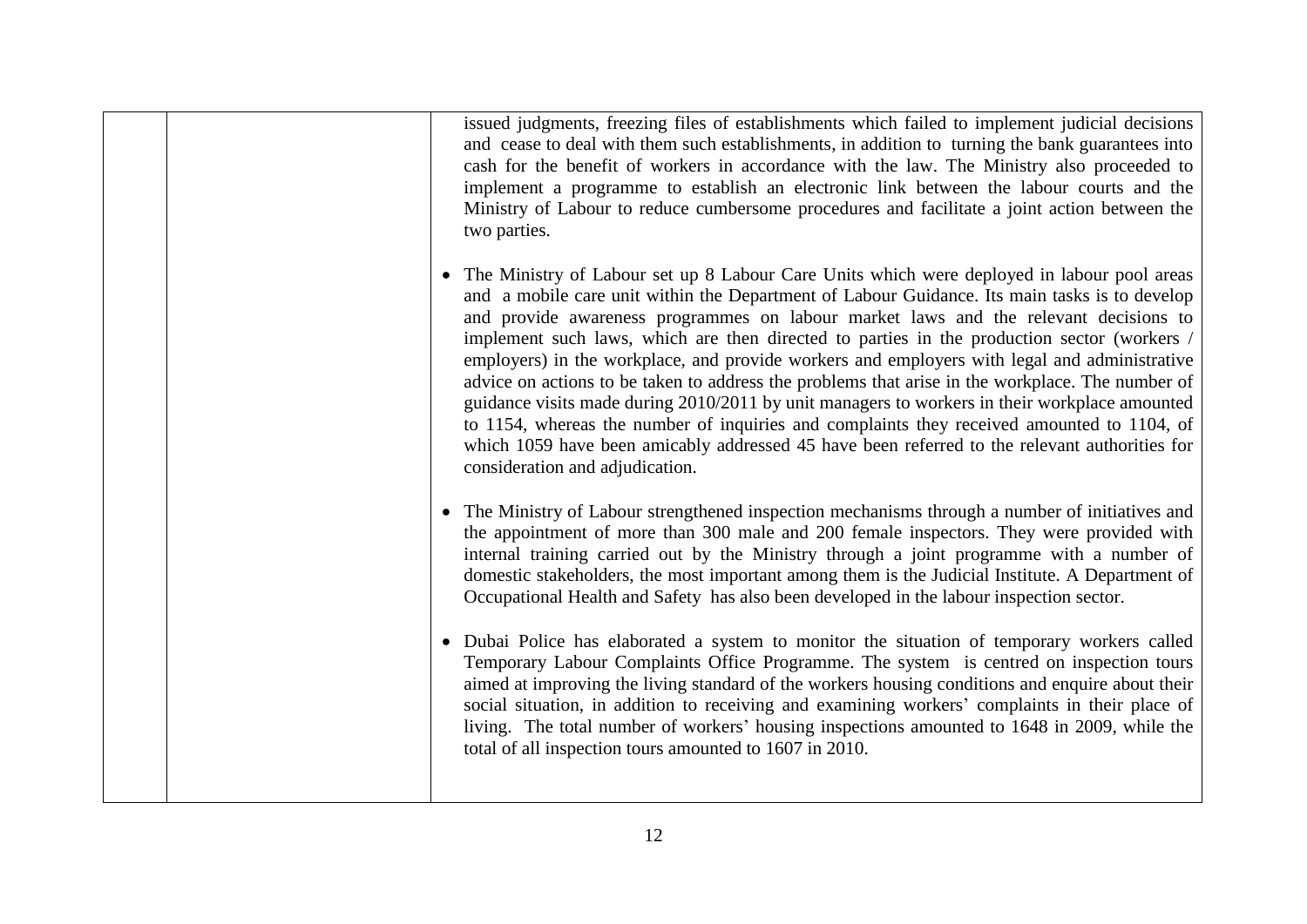issued judgments, freezing files of establishments which failed to implement judicial decisions and cease to deal with them such establishments, in addition to turning the bank guarantees into cash for the benefit of workers in accordance with the law. The Ministry also proceeded to implement a programme to establish an electronic link between the labour courts and the Ministry of Labour to reduce cumbersome procedures and facilitate a joint action between the two parties. • The Ministry of Labour set up 8 Labour Care Units which were deployed in labour pool areas and a mobile care unit within the Department of Labour Guidance. Its main tasks is to develop and provide awareness programmes on labour market laws and the relevant decisions to implement such laws, which are then directed to parties in the production sector (workers / employers) in the workplace, and provide workers and employers with legal and administrative advice on actions to be taken to address the problems that arise in the workplace. The number of guidance visits made during 2010/2011 by unit managers to workers in their workplace amounted to 1154, whereas the number of inquiries and complaints they received amounted to 1104, of which 1059 have been amicably addressed 45 have been referred to the relevant authorities for consideration and adjudication. • The Ministry of Labour strengthened inspection mechanisms through a number of initiatives and the appointment of more than 300 male and 200 female inspectors. They were provided with internal training carried out by the Ministry through a joint programme with a number of domestic stakeholders, the most important among them is the Judicial Institute. A Department of Occupational Health and Safety has also been developed in the labour inspection sector. • Dubai Police has elaborated a system to monitor the situation of temporary workers called Temporary Labour Complaints Office Programme. The system is centred on inspection tours aimed at improving the living standard of the workers housing conditions and enquire about their social situation, in addition to receiving and examining workers' complaints in their place of living. The total number of workers' housing inspections amounted to 1648 in 2009, while the total of all inspection tours amounted to 1607 in 2010.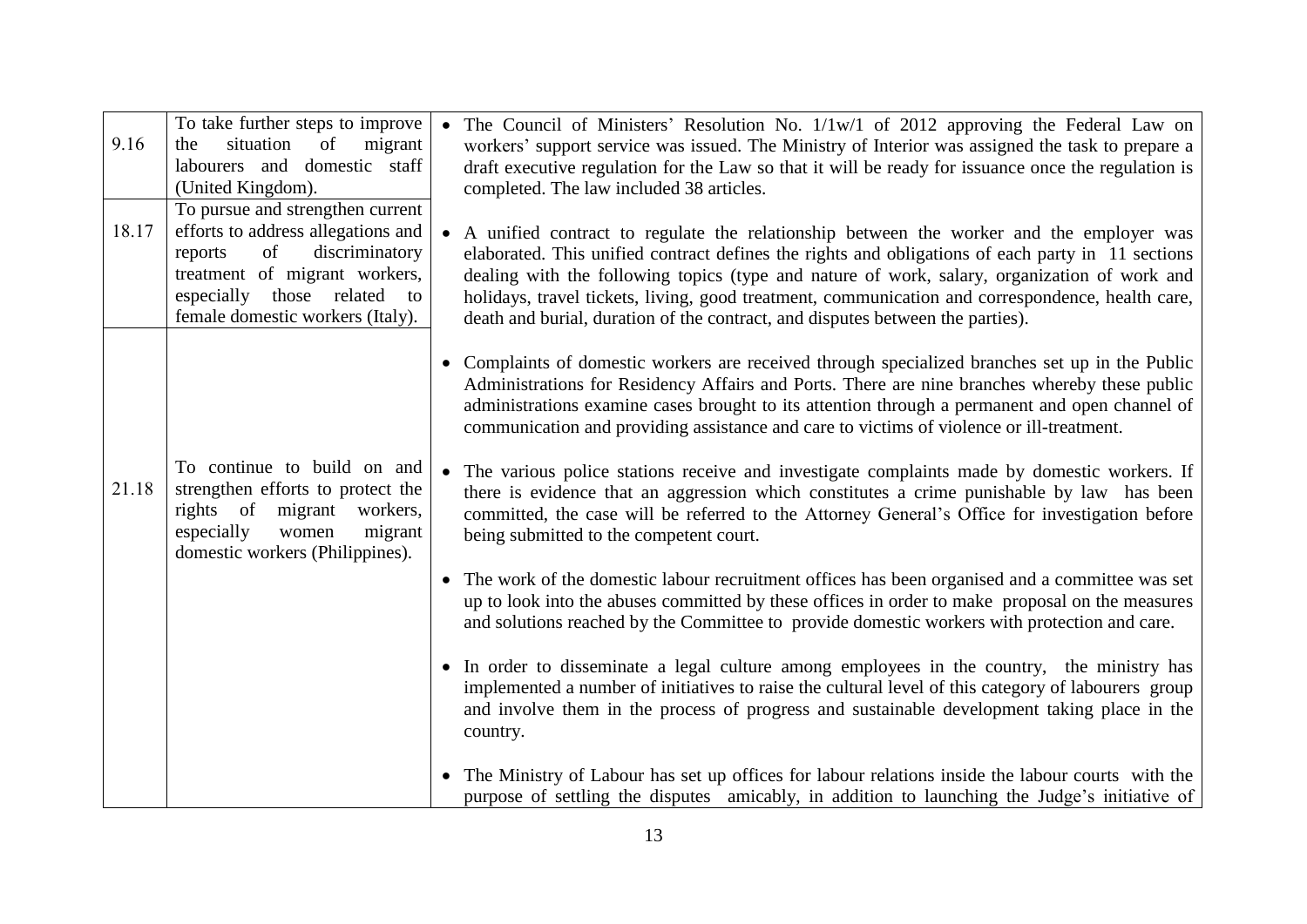| 9.16  | To take further steps to improve<br>situation<br>of<br>migrant<br>the<br>labourers and domestic staff<br>(United Kingdom).                                                                                    | The Council of Ministers' Resolution No. 1/1w/1 of 2012 approving the Federal Law on<br>workers' support service was issued. The Ministry of Interior was assigned the task to prepare a<br>draft executive regulation for the Law so that it will be ready for issuance once the regulation is<br>completed. The law included 38 articles.                                                                                                                                        |
|-------|---------------------------------------------------------------------------------------------------------------------------------------------------------------------------------------------------------------|------------------------------------------------------------------------------------------------------------------------------------------------------------------------------------------------------------------------------------------------------------------------------------------------------------------------------------------------------------------------------------------------------------------------------------------------------------------------------------|
| 18.17 | To pursue and strengthen current<br>efforts to address allegations and<br>discriminatory<br>of<br>reports<br>treatment of migrant workers,<br>especially those related to<br>female domestic workers (Italy). | A unified contract to regulate the relationship between the worker and the employer was<br>elaborated. This unified contract defines the rights and obligations of each party in 11 sections<br>dealing with the following topics (type and nature of work, salary, organization of work and<br>holidays, travel tickets, living, good treatment, communication and correspondence, health care,<br>death and burial, duration of the contract, and disputes between the parties). |
|       |                                                                                                                                                                                                               | Complaints of domestic workers are received through specialized branches set up in the Public<br>Administrations for Residency Affairs and Ports. There are nine branches whereby these public<br>administrations examine cases brought to its attention through a permanent and open channel of<br>communication and providing assistance and care to victims of violence or ill-treatment.                                                                                       |
| 21.18 | To continue to build on and<br>strengthen efforts to protect the<br>rights of migrant workers,<br>especially<br>migrant<br>women<br>domestic workers (Philippines).                                           | The various police stations receive and investigate complaints made by domestic workers. If<br>$\bullet$<br>there is evidence that an aggression which constitutes a crime punishable by law has been<br>committed, the case will be referred to the Attorney General's Office for investigation before<br>being submitted to the competent court.                                                                                                                                 |
|       |                                                                                                                                                                                                               | • The work of the domestic labour recruitment offices has been organised and a committee was set<br>up to look into the abuses committed by these offices in order to make proposal on the measures<br>and solutions reached by the Committee to provide domestic workers with protection and care.                                                                                                                                                                                |
|       |                                                                                                                                                                                                               | • In order to disseminate a legal culture among employees in the country, the ministry has<br>implemented a number of initiatives to raise the cultural level of this category of labourers group<br>and involve them in the process of progress and sustainable development taking place in the<br>country.                                                                                                                                                                       |
|       |                                                                                                                                                                                                               | The Ministry of Labour has set up offices for labour relations inside the labour courts with the<br>$\bullet$<br>purpose of settling the disputes amicably, in addition to launching the Judge's initiative of                                                                                                                                                                                                                                                                     |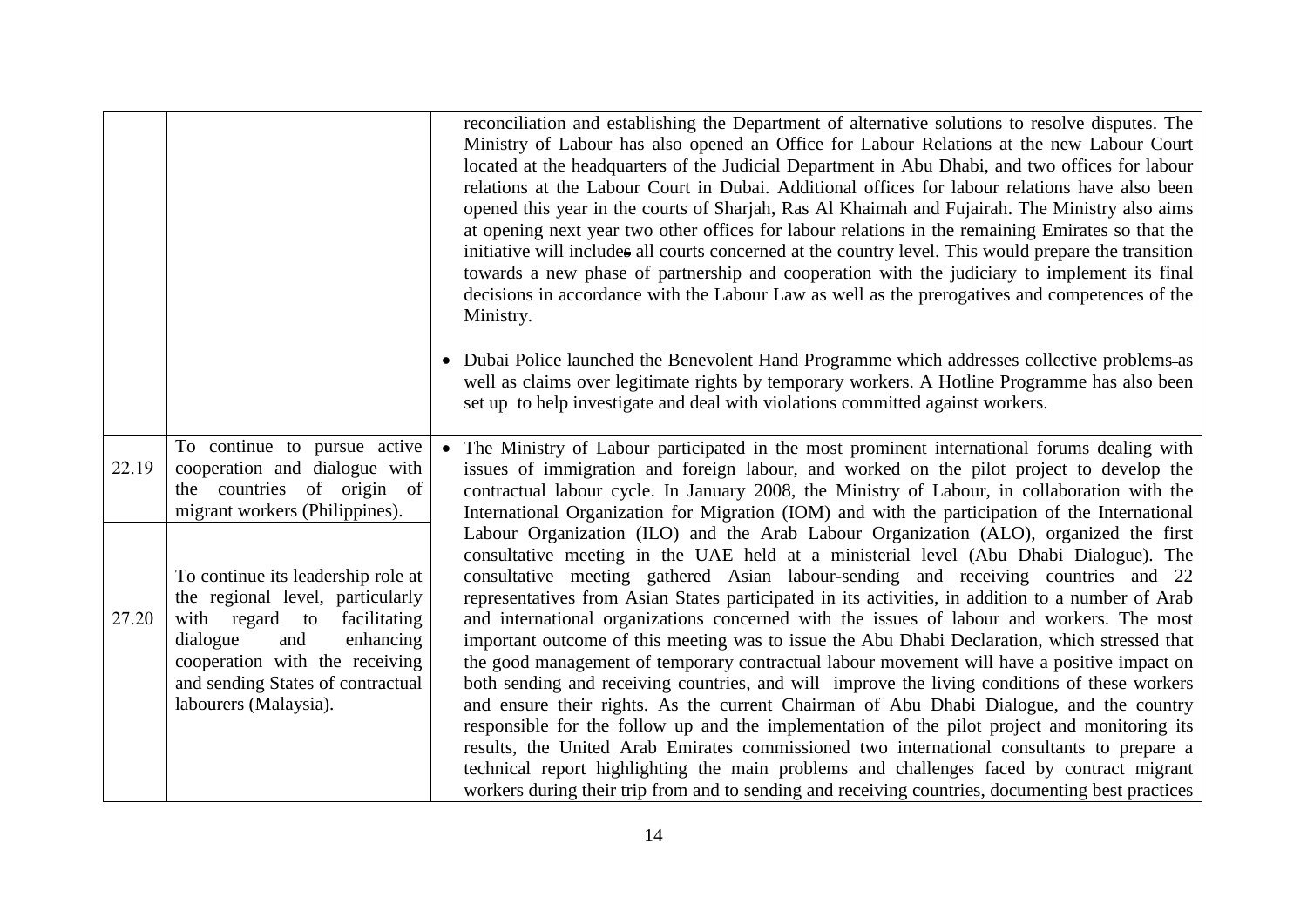|       |                                                                                                                                                                                                                                          | reconciliation and establishing the Department of alternative solutions to resolve disputes. The<br>Ministry of Labour has also opened an Office for Labour Relations at the new Labour Court<br>located at the headquarters of the Judicial Department in Abu Dhabi, and two offices for labour<br>relations at the Labour Court in Dubai. Additional offices for labour relations have also been<br>opened this year in the courts of Sharjah, Ras Al Khaimah and Fujairah. The Ministry also aims<br>at opening next year two other offices for labour relations in the remaining Emirates so that the<br>initiative will includes all courts concerned at the country level. This would prepare the transition<br>towards a new phase of partnership and cooperation with the judiciary to implement its final<br>decisions in accordance with the Labour Law as well as the prerogatives and competences of the<br>Ministry.                                                                                                                                                                                                                                                                                                                               |
|-------|------------------------------------------------------------------------------------------------------------------------------------------------------------------------------------------------------------------------------------------|-----------------------------------------------------------------------------------------------------------------------------------------------------------------------------------------------------------------------------------------------------------------------------------------------------------------------------------------------------------------------------------------------------------------------------------------------------------------------------------------------------------------------------------------------------------------------------------------------------------------------------------------------------------------------------------------------------------------------------------------------------------------------------------------------------------------------------------------------------------------------------------------------------------------------------------------------------------------------------------------------------------------------------------------------------------------------------------------------------------------------------------------------------------------------------------------------------------------------------------------------------------------|
|       |                                                                                                                                                                                                                                          | • Dubai Police launched the Benevolent Hand Programme which addresses collective problems-as<br>well as claims over legitimate rights by temporary workers. A Hotline Programme has also been<br>set up to help investigate and deal with violations committed against workers.                                                                                                                                                                                                                                                                                                                                                                                                                                                                                                                                                                                                                                                                                                                                                                                                                                                                                                                                                                                 |
| 22.19 | To continue to pursue active<br>cooperation and dialogue with<br>the countries of origin of<br>migrant workers (Philippines).                                                                                                            | The Ministry of Labour participated in the most prominent international forums dealing with<br>issues of immigration and foreign labour, and worked on the pilot project to develop the<br>contractual labour cycle. In January 2008, the Ministry of Labour, in collaboration with the<br>International Organization for Migration (IOM) and with the participation of the International                                                                                                                                                                                                                                                                                                                                                                                                                                                                                                                                                                                                                                                                                                                                                                                                                                                                       |
| 27.20 | To continue its leadership role at<br>the regional level, particularly<br>with regard to<br>facilitating<br>dialogue<br>enhancing<br>and<br>cooperation with the receiving<br>and sending States of contractual<br>labourers (Malaysia). | Labour Organization (ILO) and the Arab Labour Organization (ALO), organized the first<br>consultative meeting in the UAE held at a ministerial level (Abu Dhabi Dialogue). The<br>consultative meeting gathered Asian labour-sending and receiving countries and 22<br>representatives from Asian States participated in its activities, in addition to a number of Arab<br>and international organizations concerned with the issues of labour and workers. The most<br>important outcome of this meeting was to issue the Abu Dhabi Declaration, which stressed that<br>the good management of temporary contractual labour movement will have a positive impact on<br>both sending and receiving countries, and will improve the living conditions of these workers<br>and ensure their rights. As the current Chairman of Abu Dhabi Dialogue, and the country<br>responsible for the follow up and the implementation of the pilot project and monitoring its<br>results, the United Arab Emirates commissioned two international consultants to prepare a<br>technical report highlighting the main problems and challenges faced by contract migrant<br>workers during their trip from and to sending and receiving countries, documenting best practices |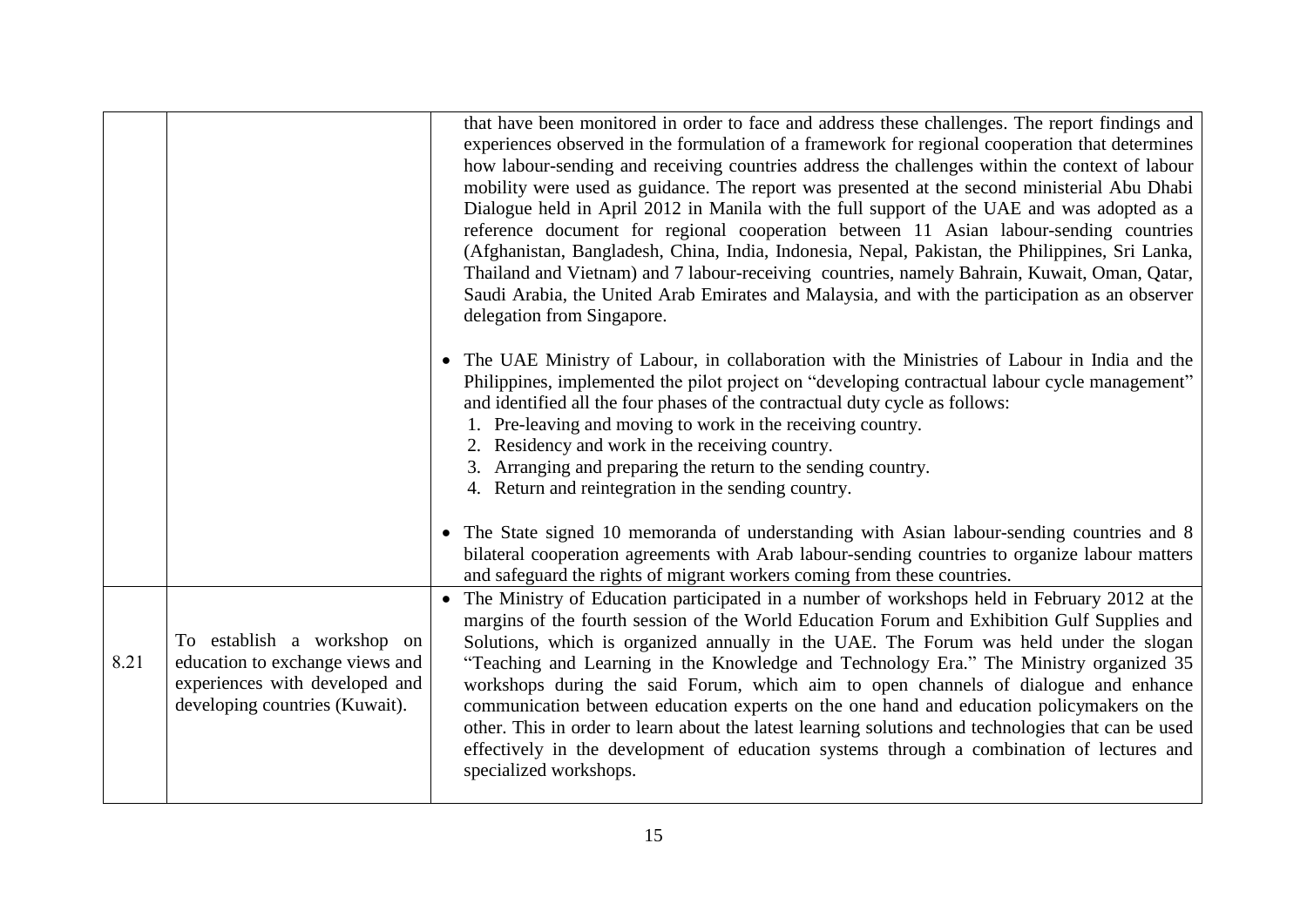|      |                                                                                                                                   | that have been monitored in order to face and address these challenges. The report findings and<br>experiences observed in the formulation of a framework for regional cooperation that determines<br>how labour-sending and receiving countries address the challenges within the context of labour<br>mobility were used as guidance. The report was presented at the second ministerial Abu Dhabi<br>Dialogue held in April 2012 in Manila with the full support of the UAE and was adopted as a<br>reference document for regional cooperation between 11 Asian labour-sending countries<br>(Afghanistan, Bangladesh, China, India, Indonesia, Nepal, Pakistan, the Philippines, Sri Lanka,<br>Thailand and Vietnam) and 7 labour-receiving countries, namely Bahrain, Kuwait, Oman, Qatar,<br>Saudi Arabia, the United Arab Emirates and Malaysia, and with the participation as an observer<br>delegation from Singapore. |
|------|-----------------------------------------------------------------------------------------------------------------------------------|---------------------------------------------------------------------------------------------------------------------------------------------------------------------------------------------------------------------------------------------------------------------------------------------------------------------------------------------------------------------------------------------------------------------------------------------------------------------------------------------------------------------------------------------------------------------------------------------------------------------------------------------------------------------------------------------------------------------------------------------------------------------------------------------------------------------------------------------------------------------------------------------------------------------------------|
|      |                                                                                                                                   | • The UAE Ministry of Labour, in collaboration with the Ministries of Labour in India and the<br>Philippines, implemented the pilot project on "developing contractual labour cycle management"<br>and identified all the four phases of the contractual duty cycle as follows:<br>1. Pre-leaving and moving to work in the receiving country.<br>2. Residency and work in the receiving country.<br>3. Arranging and preparing the return to the sending country.<br>4. Return and reintegration in the sending country.                                                                                                                                                                                                                                                                                                                                                                                                       |
|      |                                                                                                                                   | • The State signed 10 memoranda of understanding with Asian labour-sending countries and 8<br>bilateral cooperation agreements with Arab labour-sending countries to organize labour matters<br>and safeguard the rights of migrant workers coming from these countries.                                                                                                                                                                                                                                                                                                                                                                                                                                                                                                                                                                                                                                                        |
| 8.21 | To establish a workshop on<br>education to exchange views and<br>experiences with developed and<br>developing countries (Kuwait). | • The Ministry of Education participated in a number of workshops held in February 2012 at the<br>margins of the fourth session of the World Education Forum and Exhibition Gulf Supplies and<br>Solutions, which is organized annually in the UAE. The Forum was held under the slogan<br>"Teaching and Learning in the Knowledge and Technology Era." The Ministry organized 35<br>workshops during the said Forum, which aim to open channels of dialogue and enhance<br>communication between education experts on the one hand and education policymakers on the<br>other. This in order to learn about the latest learning solutions and technologies that can be used<br>effectively in the development of education systems through a combination of lectures and<br>specialized workshops.                                                                                                                             |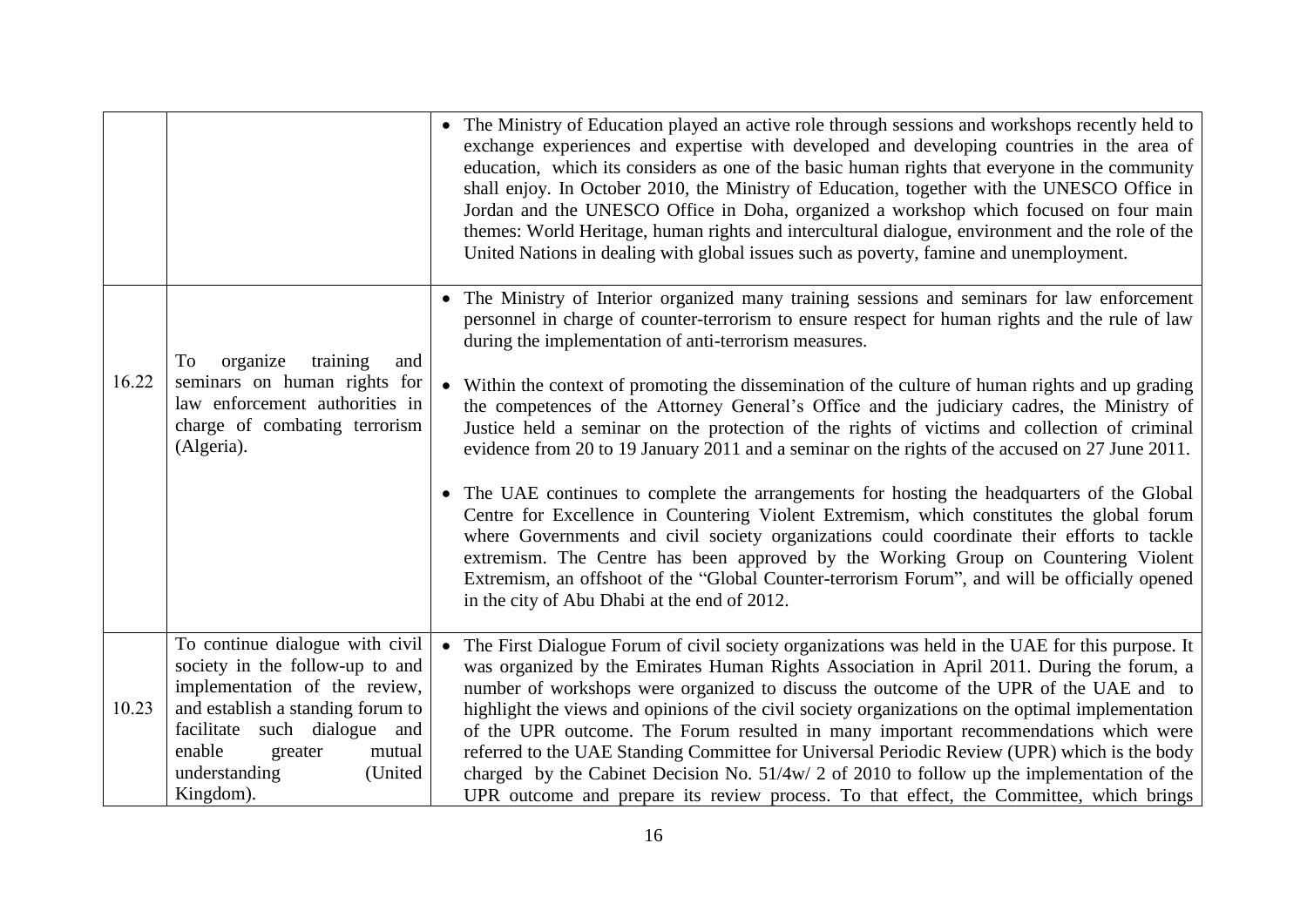|       |                                                                                                                                          | • The Ministry of Education played an active role through sessions and workshops recently held to<br>exchange experiences and expertise with developed and developing countries in the area of<br>education, which its considers as one of the basic human rights that everyone in the community<br>shall enjoy. In October 2010, the Ministry of Education, together with the UNESCO Office in<br>Jordan and the UNESCO Office in Doha, organized a workshop which focused on four main<br>themes: World Heritage, human rights and intercultural dialogue, environment and the role of the<br>United Nations in dealing with global issues such as poverty, famine and unemployment. |
|-------|------------------------------------------------------------------------------------------------------------------------------------------|----------------------------------------------------------------------------------------------------------------------------------------------------------------------------------------------------------------------------------------------------------------------------------------------------------------------------------------------------------------------------------------------------------------------------------------------------------------------------------------------------------------------------------------------------------------------------------------------------------------------------------------------------------------------------------------|
|       | training<br>To<br>organize<br>and                                                                                                        | • The Ministry of Interior organized many training sessions and seminars for law enforcement<br>personnel in charge of counter-terrorism to ensure respect for human rights and the rule of law<br>during the implementation of anti-terrorism measures.                                                                                                                                                                                                                                                                                                                                                                                                                               |
|       | 16.22<br>seminars on human rights for<br>law enforcement authorities in<br>charge of combating terrorism<br>(Algeria).                   | Within the context of promoting the dissemination of the culture of human rights and up grading<br>$\bullet$<br>the competences of the Attorney General's Office and the judiciary cadres, the Ministry of<br>Justice held a seminar on the protection of the rights of victims and collection of criminal<br>evidence from 20 to 19 January 2011 and a seminar on the rights of the accused on 27 June 2011.                                                                                                                                                                                                                                                                          |
|       |                                                                                                                                          | • The UAE continues to complete the arrangements for hosting the headquarters of the Global<br>Centre for Excellence in Countering Violent Extremism, which constitutes the global forum<br>where Governments and civil society organizations could coordinate their efforts to tackle<br>extremism. The Centre has been approved by the Working Group on Countering Violent<br>Extremism, an offshoot of the "Global Counter-terrorism Forum", and will be officially opened<br>in the city of Abu Dhabi at the end of 2012.                                                                                                                                                          |
| 10.23 | To continue dialogue with civil<br>society in the follow-up to and<br>implementation of the review,<br>and establish a standing forum to | The First Dialogue Forum of civil society organizations was held in the UAE for this purpose. It<br>$\bullet$<br>was organized by the Emirates Human Rights Association in April 2011. During the forum, a<br>number of workshops were organized to discuss the outcome of the UPR of the UAE and to<br>highlight the views and opinions of the civil society organizations on the optimal implementation                                                                                                                                                                                                                                                                              |
|       | facilitate such dialogue and<br>enable<br>mutual<br>greater<br>understanding<br>(United<br>Kingdom).                                     | of the UPR outcome. The Forum resulted in many important recommendations which were<br>referred to the UAE Standing Committee for Universal Periodic Review (UPR) which is the body<br>charged by the Cabinet Decision No. $51/4w/2$ of 2010 to follow up the implementation of the<br>UPR outcome and prepare its review process. To that effect, the Committee, which brings                                                                                                                                                                                                                                                                                                         |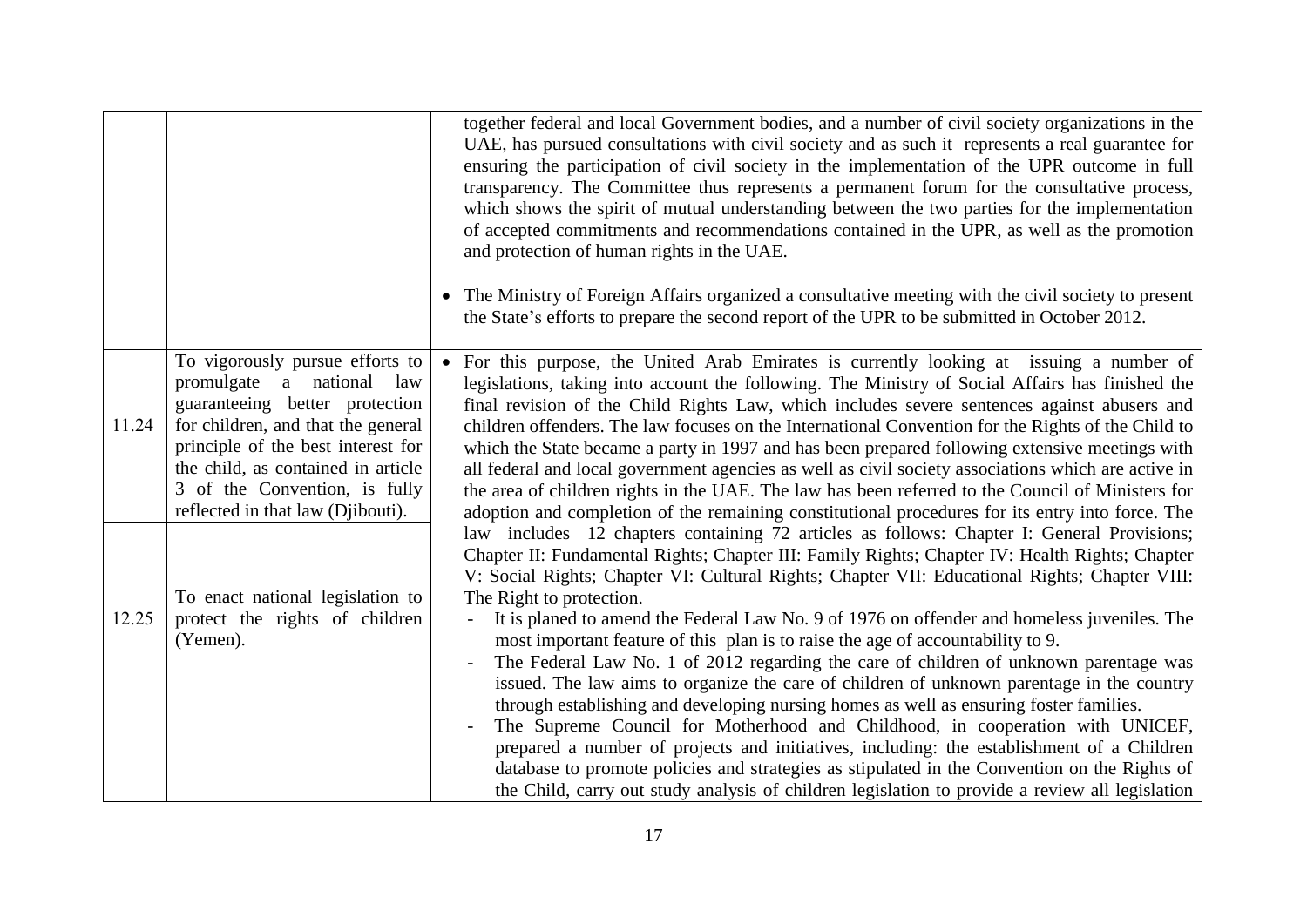|       |                                                                                                                                                                                                                                                                                        | together federal and local Government bodies, and a number of civil society organizations in the<br>UAE, has pursued consultations with civil society and as such it represents a real guarantee for<br>ensuring the participation of civil society in the implementation of the UPR outcome in full<br>transparency. The Committee thus represents a permanent forum for the consultative process,<br>which shows the spirit of mutual understanding between the two parties for the implementation<br>of accepted commitments and recommendations contained in the UPR, as well as the promotion<br>and protection of human rights in the UAE.<br>• The Ministry of Foreign Affairs organized a consultative meeting with the civil society to present<br>the State's efforts to prepare the second report of the UPR to be submitted in October 2012.                                                                                                                                                                                                                       |
|-------|----------------------------------------------------------------------------------------------------------------------------------------------------------------------------------------------------------------------------------------------------------------------------------------|--------------------------------------------------------------------------------------------------------------------------------------------------------------------------------------------------------------------------------------------------------------------------------------------------------------------------------------------------------------------------------------------------------------------------------------------------------------------------------------------------------------------------------------------------------------------------------------------------------------------------------------------------------------------------------------------------------------------------------------------------------------------------------------------------------------------------------------------------------------------------------------------------------------------------------------------------------------------------------------------------------------------------------------------------------------------------------|
| 11.24 | To vigorously pursue efforts to<br>promulgate a national law<br>guaranteeing better protection<br>for children, and that the general<br>principle of the best interest for<br>the child, as contained in article<br>3 of the Convention, is fully<br>reflected in that law (Diibouti). | For this purpose, the United Arab Emirates is currently looking at issuing a number of<br>$\bullet$<br>legislations, taking into account the following. The Ministry of Social Affairs has finished the<br>final revision of the Child Rights Law, which includes severe sentences against abusers and<br>children offenders. The law focuses on the International Convention for the Rights of the Child to<br>which the State became a party in 1997 and has been prepared following extensive meetings with<br>all federal and local government agencies as well as civil society associations which are active in<br>the area of children rights in the UAE. The law has been referred to the Council of Ministers for<br>adoption and completion of the remaining constitutional procedures for its entry into force. The<br>law includes 12 chapters containing 72 articles as follows: Chapter I: General Provisions;                                                                                                                                                   |
| 12.25 | To enact national legislation to<br>protect the rights of children<br>(Yemen).                                                                                                                                                                                                         | Chapter II: Fundamental Rights; Chapter III: Family Rights; Chapter IV: Health Rights; Chapter<br>V: Social Rights; Chapter VI: Cultural Rights; Chapter VII: Educational Rights; Chapter VIII:<br>The Right to protection.<br>It is planed to amend the Federal Law No. 9 of 1976 on offender and homeless juveniles. The<br>most important feature of this plan is to raise the age of accountability to 9.<br>The Federal Law No. 1 of 2012 regarding the care of children of unknown parentage was<br>issued. The law aims to organize the care of children of unknown parentage in the country<br>through establishing and developing nursing homes as well as ensuring foster families.<br>The Supreme Council for Motherhood and Childhood, in cooperation with UNICEF,<br>prepared a number of projects and initiatives, including: the establishment of a Children<br>database to promote policies and strategies as stipulated in the Convention on the Rights of<br>the Child, carry out study analysis of children legislation to provide a review all legislation |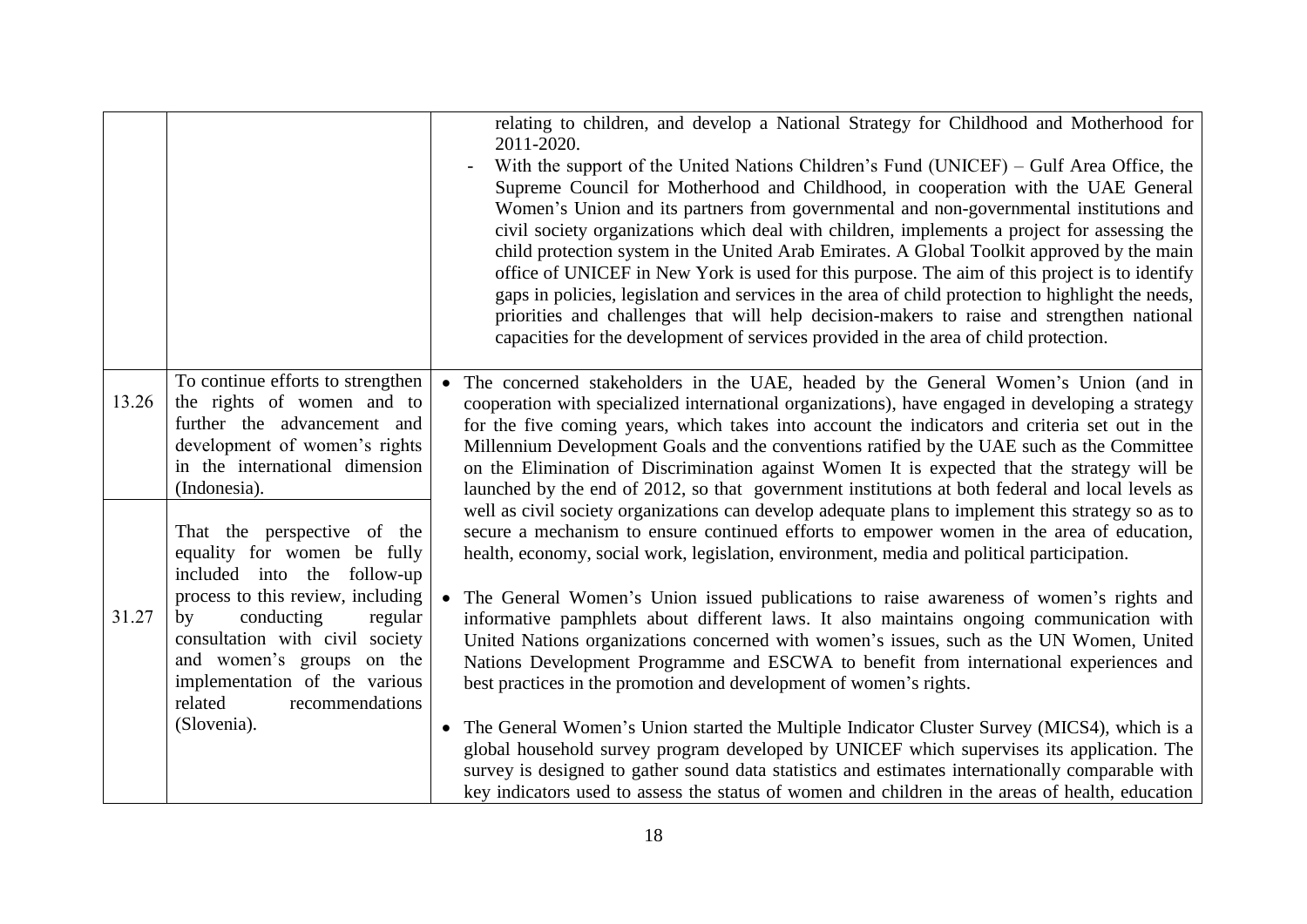|       |                                                                  | relating to children, and develop a National Strategy for Childhood and Motherhood for<br>2011-2020.                                                                                                   |
|-------|------------------------------------------------------------------|--------------------------------------------------------------------------------------------------------------------------------------------------------------------------------------------------------|
|       |                                                                  | With the support of the United Nations Children's Fund (UNICEF) – Gulf Area Office, the<br>Supreme Council for Motherhood and Childhood, in cooperation with the UAE General                           |
|       |                                                                  | Women's Union and its partners from governmental and non-governmental institutions and                                                                                                                 |
|       |                                                                  | civil society organizations which deal with children, implements a project for assessing the<br>child protection system in the United Arab Emirates. A Global Toolkit approved by the main             |
|       |                                                                  | office of UNICEF in New York is used for this purpose. The aim of this project is to identify<br>gaps in policies, legislation and services in the area of child protection to highlight the needs,    |
|       |                                                                  | priorities and challenges that will help decision-makers to raise and strengthen national                                                                                                              |
|       |                                                                  | capacities for the development of services provided in the area of child protection.                                                                                                                   |
| 13.26 | To continue efforts to strengthen                                | The concerned stakeholders in the UAE, headed by the General Women's Union (and in                                                                                                                     |
|       | the rights of women and to<br>further the advancement and        | cooperation with specialized international organizations), have engaged in developing a strategy<br>for the five coming years, which takes into account the indicators and criteria set out in the     |
|       | development of women's rights                                    | Millennium Development Goals and the conventions ratified by the UAE such as the Committee                                                                                                             |
|       | in the international dimension                                   | on the Elimination of Discrimination against Women It is expected that the strategy will be                                                                                                            |
|       | (Indonesia).                                                     | launched by the end of 2012, so that government institutions at both federal and local levels as<br>well as civil society organizations can develop adequate plans to implement this strategy so as to |
|       | That the perspective of the<br>equality for women be fully       | secure a mechanism to ensure continued efforts to empower women in the area of education,<br>health, economy, social work, legislation, environment, media and political participation.                |
|       | included into the follow-up<br>process to this review, including | The General Women's Union issued publications to raise awareness of women's rights and                                                                                                                 |
| 31.27 | conducting<br>regular<br>by                                      | informative pamphlets about different laws. It also maintains ongoing communication with                                                                                                               |
|       | consultation with civil society<br>and women's groups on the     | United Nations organizations concerned with women's issues, such as the UN Women, United<br>Nations Development Programme and ESCWA to benefit from international experiences and                      |
|       | implementation of the various                                    | best practices in the promotion and development of women's rights.                                                                                                                                     |
|       | recommendations<br>related                                       |                                                                                                                                                                                                        |
|       | (Slovenia).                                                      | • The General Women's Union started the Multiple Indicator Cluster Survey (MICS4), which is a<br>global household survey program developed by UNICEF which supervises its application. The             |
|       |                                                                  | survey is designed to gather sound data statistics and estimates internationally comparable with                                                                                                       |
|       |                                                                  | key indicators used to assess the status of women and children in the areas of health, education                                                                                                       |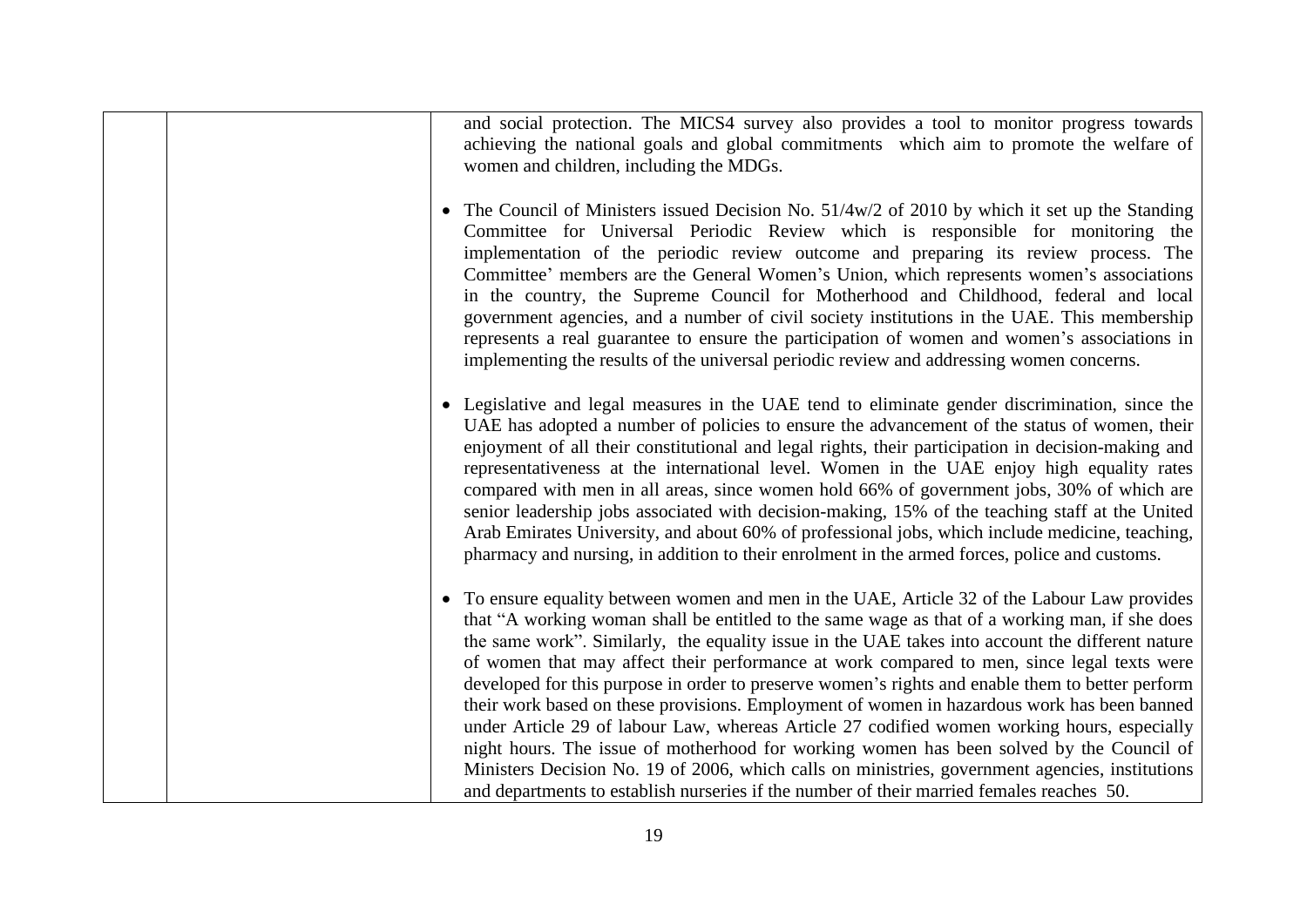and social protection. The MICS4 survey also provides a tool to monitor progress towards achieving the national goals and global commitments which aim to promote the welfare of women and children, including the MDGs.

- The Council of Ministers issued Decision No.  $51/4w/2$  of 2010 by which it set up the Standing Committee for Universal Periodic Review which is responsible for monitoring the implementation of the periodic review outcome and preparing its review process. The Committee' members are the General Women's Union, which represents women's associations in the country, the Supreme Council for Motherhood and Childhood, federal and local government agencies, and a number of civil society institutions in the UAE. This membership represents a real guarantee to ensure the participation of women and women's associations in implementing the results of the universal periodic review and addressing women concerns.
- Legislative and legal measures in the UAE tend to eliminate gender discrimination, since the UAE has adopted a number of policies to ensure the advancement of the status of women, their enjoyment of all their constitutional and legal rights, their participation in decision-making and representativeness at the international level. Women in the UAE enjoy high equality rates compared with men in all areas, since women hold 66% of government jobs, 30% of which are senior leadership jobs associated with decision-making, 15% of the teaching staff at the United Arab Emirates University, and about 60% of professional jobs, which include medicine, teaching, pharmacy and nursing, in addition to their enrolment in the armed forces, police and customs.
- To ensure equality between women and men in the UAE, Article 32 of the Labour Law provides that "A working woman shall be entitled to the same wage as that of a working man, if she does the same work". Similarly, the equality issue in the UAE takes into account the different nature of women that may affect their performance at work compared to men, since legal texts were developed for this purpose in order to preserve women's rights and enable them to better perform their work based on these provisions. Employment of women in hazardous work has been banned under Article 29 of labour Law, whereas Article 27 codified women working hours, especially night hours. The issue of motherhood for working women has been solved by the Council of Ministers Decision No. 19 of 2006, which calls on ministries, government agencies, institutions and departments to establish nurseries if the number of their married females reaches 50.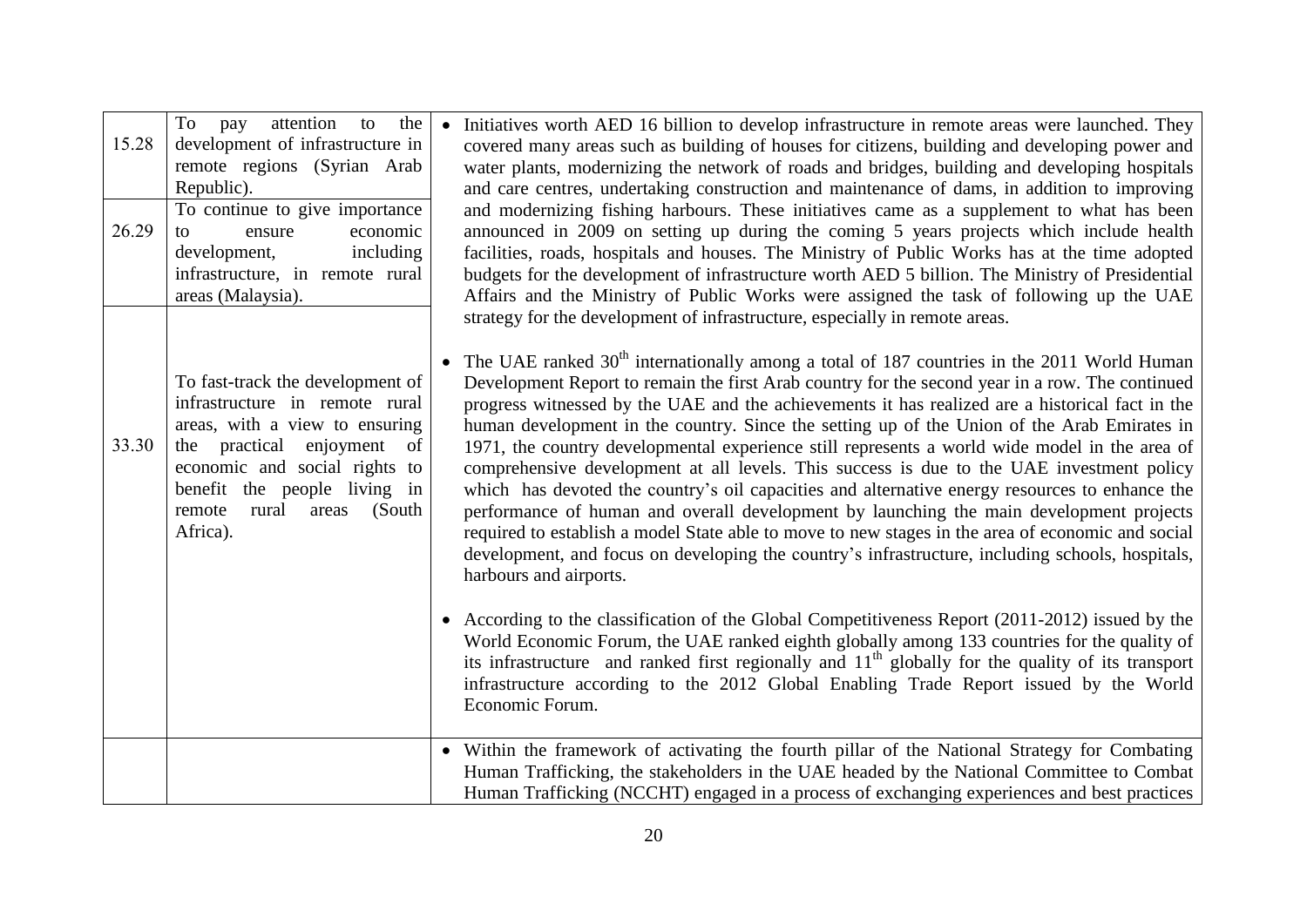| 15.28<br>26.29 | To<br>the<br>pay<br>attention<br>to<br>development of infrastructure in<br>remote regions (Syrian Arab<br>Republic).<br>To continue to give importance<br>economic<br>ensure<br>to<br>development,<br>including<br>infrastructure, in remote rural<br>areas (Malaysia). | Initiatives worth AED 16 billion to develop infrastructure in remote areas were launched. They<br>$\bullet$<br>covered many areas such as building of houses for citizens, building and developing power and<br>water plants, modernizing the network of roads and bridges, building and developing hospitals<br>and care centres, undertaking construction and maintenance of dams, in addition to improving<br>and modernizing fishing harbours. These initiatives came as a supplement to what has been<br>announced in 2009 on setting up during the coming 5 years projects which include health<br>facilities, roads, hospitals and houses. The Ministry of Public Works has at the time adopted<br>budgets for the development of infrastructure worth AED 5 billion. The Ministry of Presidential<br>Affairs and the Ministry of Public Works were assigned the task of following up the UAE<br>strategy for the development of infrastructure, especially in remote areas.                                                       |
|----------------|-------------------------------------------------------------------------------------------------------------------------------------------------------------------------------------------------------------------------------------------------------------------------|-------------------------------------------------------------------------------------------------------------------------------------------------------------------------------------------------------------------------------------------------------------------------------------------------------------------------------------------------------------------------------------------------------------------------------------------------------------------------------------------------------------------------------------------------------------------------------------------------------------------------------------------------------------------------------------------------------------------------------------------------------------------------------------------------------------------------------------------------------------------------------------------------------------------------------------------------------------------------------------------------------------------------------------------|
| 33.30          | To fast-track the development of<br>infrastructure in remote rural<br>areas, with a view to ensuring<br>of<br>the practical enjoyment<br>economic and social rights to<br>benefit the people living in<br>rural<br>(South)<br>remote<br>areas<br>Africa).               | The UAE ranked 30 <sup>th</sup> internationally among a total of 187 countries in the 2011 World Human<br>Development Report to remain the first Arab country for the second year in a row. The continued<br>progress witnessed by the UAE and the achievements it has realized are a historical fact in the<br>human development in the country. Since the setting up of the Union of the Arab Emirates in<br>1971, the country developmental experience still represents a world wide model in the area of<br>comprehensive development at all levels. This success is due to the UAE investment policy<br>which has devoted the country's oil capacities and alternative energy resources to enhance the<br>performance of human and overall development by launching the main development projects<br>required to establish a model State able to move to new stages in the area of economic and social<br>development, and focus on developing the country's infrastructure, including schools, hospitals,<br>harbours and airports. |
|                |                                                                                                                                                                                                                                                                         | According to the classification of the Global Competitiveness Report (2011-2012) issued by the<br>$\bullet$<br>World Economic Forum, the UAE ranked eighth globally among 133 countries for the quality of<br>its infrastructure and ranked first regionally and 11 <sup>th</sup> globally for the quality of its transport<br>infrastructure according to the 2012 Global Enabling Trade Report issued by the World<br>Economic Forum.                                                                                                                                                                                                                                                                                                                                                                                                                                                                                                                                                                                                   |
|                |                                                                                                                                                                                                                                                                         | • Within the framework of activating the fourth pillar of the National Strategy for Combating<br>Human Trafficking, the stakeholders in the UAE headed by the National Committee to Combat<br>Human Trafficking (NCCHT) engaged in a process of exchanging experiences and best practices                                                                                                                                                                                                                                                                                                                                                                                                                                                                                                                                                                                                                                                                                                                                                 |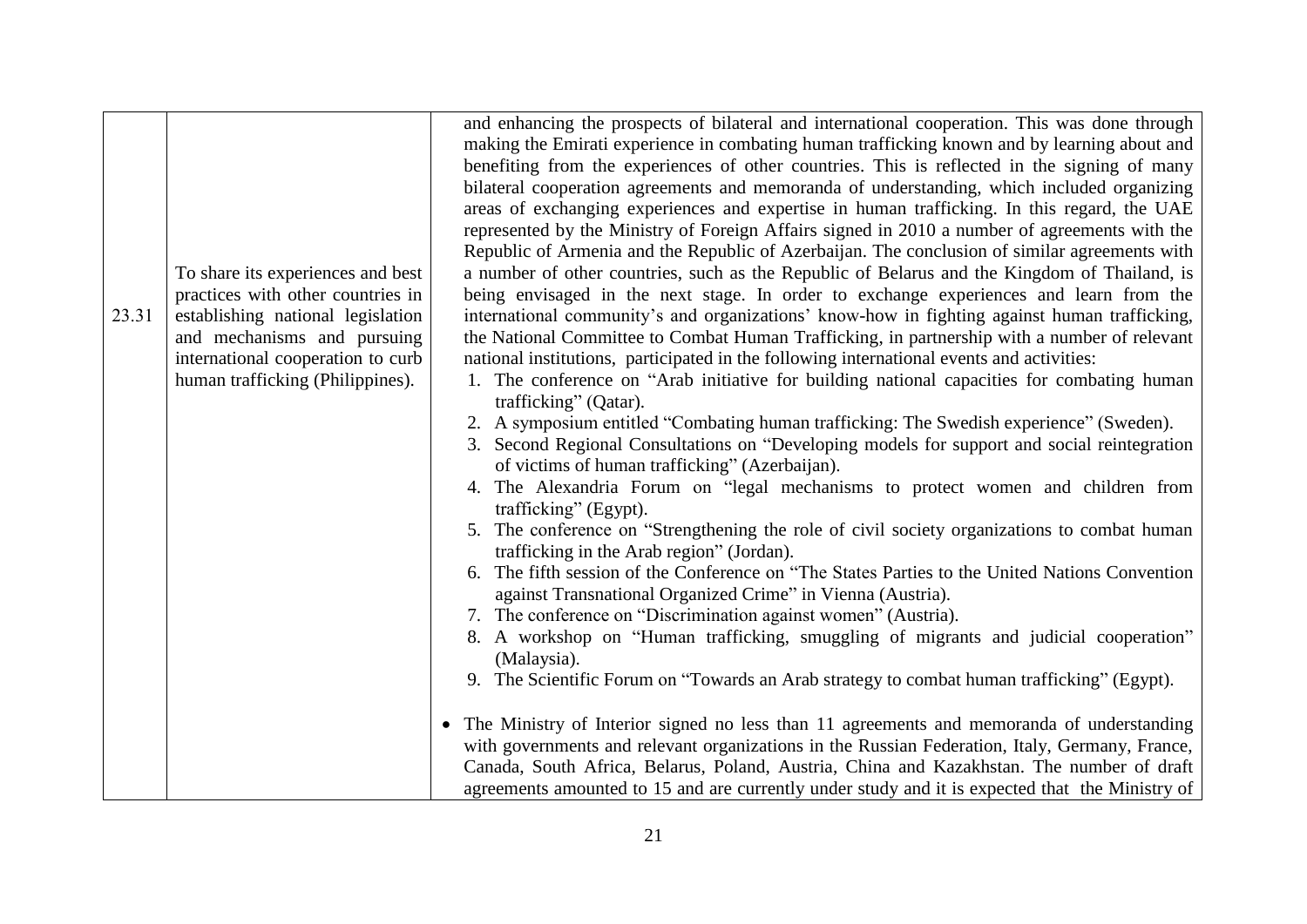|       |                                                                                                             | and enhancing the prospects of bilateral and international cooperation. This was done through<br>making the Emirati experience in combating human trafficking known and by learning about and<br>benefiting from the experiences of other countries. This is reflected in the signing of many                                                                                                                                                                                                                                                                                                                                                                                                                                                                                                                                                                                                                                                                                                                                                            |
|-------|-------------------------------------------------------------------------------------------------------------|----------------------------------------------------------------------------------------------------------------------------------------------------------------------------------------------------------------------------------------------------------------------------------------------------------------------------------------------------------------------------------------------------------------------------------------------------------------------------------------------------------------------------------------------------------------------------------------------------------------------------------------------------------------------------------------------------------------------------------------------------------------------------------------------------------------------------------------------------------------------------------------------------------------------------------------------------------------------------------------------------------------------------------------------------------|
| 23.31 | To share its experiences and best<br>practices with other countries in<br>establishing national legislation | bilateral cooperation agreements and memoranda of understanding, which included organizing<br>areas of exchanging experiences and expertise in human trafficking. In this regard, the UAE<br>represented by the Ministry of Foreign Affairs signed in 2010 a number of agreements with the<br>Republic of Armenia and the Republic of Azerbaijan. The conclusion of similar agreements with<br>a number of other countries, such as the Republic of Belarus and the Kingdom of Thailand, is<br>being envisaged in the next stage. In order to exchange experiences and learn from the<br>international community's and organizations' know-how in fighting against human trafficking,                                                                                                                                                                                                                                                                                                                                                                    |
|       | and mechanisms and pursuing<br>international cooperation to curb<br>human trafficking (Philippines).        | the National Committee to Combat Human Trafficking, in partnership with a number of relevant<br>national institutions, participated in the following international events and activities:<br>1. The conference on "Arab initiative for building national capacities for combating human<br>trafficking" (Qatar).<br>2. A symposium entitled "Combating human trafficking: The Swedish experience" (Sweden).<br>3. Second Regional Consultations on "Developing models for support and social reintegration<br>of victims of human trafficking" (Azerbaijan).<br>4. The Alexandria Forum on "legal mechanisms to protect women and children from<br>trafficking" (Egypt).<br>5. The conference on "Strengthening the role of civil society organizations to combat human<br>trafficking in the Arab region" (Jordan).<br>6. The fifth session of the Conference on "The States Parties to the United Nations Convention"<br>against Transnational Organized Crime" in Vienna (Austria).<br>7. The conference on "Discrimination against women" (Austria). |
|       |                                                                                                             | 8. A workshop on "Human trafficking, smuggling of migrants and judicial cooperation"<br>(Malaysia).<br>9. The Scientific Forum on "Towards an Arab strategy to combat human trafficking" (Egypt).<br>• The Ministry of Interior signed no less than 11 agreements and memoranda of understanding<br>with governments and relevant organizations in the Russian Federation, Italy, Germany, France,                                                                                                                                                                                                                                                                                                                                                                                                                                                                                                                                                                                                                                                       |
|       |                                                                                                             | Canada, South Africa, Belarus, Poland, Austria, China and Kazakhstan. The number of draft<br>agreements amounted to 15 and are currently under study and it is expected that the Ministry of                                                                                                                                                                                                                                                                                                                                                                                                                                                                                                                                                                                                                                                                                                                                                                                                                                                             |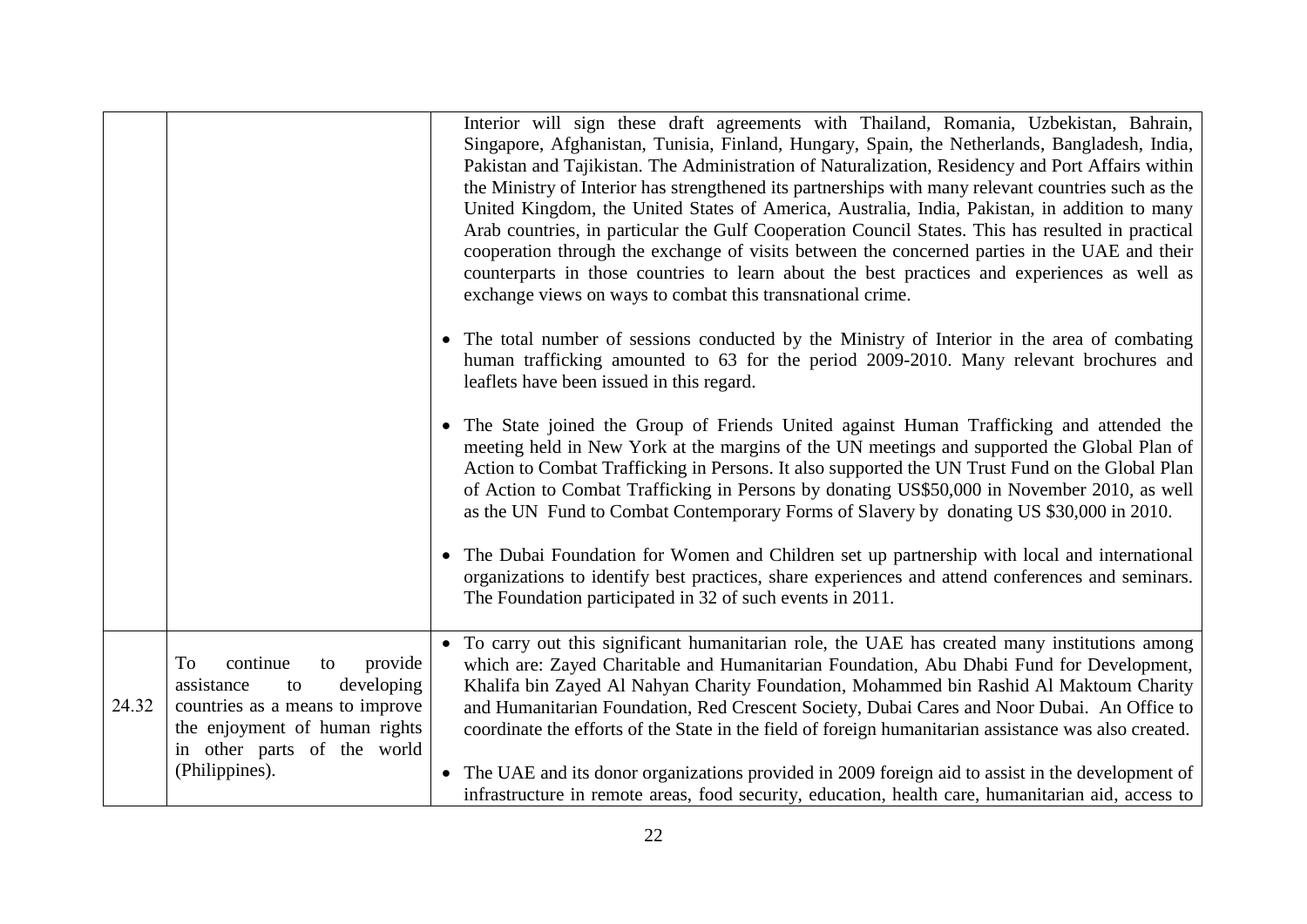|       |                                                                                                                                                                                        | Interior will sign these draft agreements with Thailand, Romania, Uzbekistan, Bahrain,<br>Singapore, Afghanistan, Tunisia, Finland, Hungary, Spain, the Netherlands, Bangladesh, India,<br>Pakistan and Tajikistan. The Administration of Naturalization, Residency and Port Affairs within<br>the Ministry of Interior has strengthened its partnerships with many relevant countries such as the<br>United Kingdom, the United States of America, Australia, India, Pakistan, in addition to many<br>Arab countries, in particular the Gulf Cooperation Council States. This has resulted in practical<br>cooperation through the exchange of visits between the concerned parties in the UAE and their<br>counterparts in those countries to learn about the best practices and experiences as well as<br>exchange views on ways to combat this transnational crime.<br>• The total number of sessions conducted by the Ministry of Interior in the area of combating<br>human trafficking amounted to 63 for the period 2009-2010. Many relevant brochures and<br>leaflets have been issued in this regard.<br>• The State joined the Group of Friends United against Human Trafficking and attended the<br>meeting held in New York at the margins of the UN meetings and supported the Global Plan of<br>Action to Combat Trafficking in Persons. It also supported the UN Trust Fund on the Global Plan<br>of Action to Combat Trafficking in Persons by donating US\$50,000 in November 2010, as well<br>as the UN Fund to Combat Contemporary Forms of Slavery by donating US \$30,000 in 2010.<br>• The Dubai Foundation for Women and Children set up partnership with local and international<br>organizations to identify best practices, share experiences and attend conferences and seminars.<br>The Foundation participated in 32 of such events in 2011. |
|-------|----------------------------------------------------------------------------------------------------------------------------------------------------------------------------------------|----------------------------------------------------------------------------------------------------------------------------------------------------------------------------------------------------------------------------------------------------------------------------------------------------------------------------------------------------------------------------------------------------------------------------------------------------------------------------------------------------------------------------------------------------------------------------------------------------------------------------------------------------------------------------------------------------------------------------------------------------------------------------------------------------------------------------------------------------------------------------------------------------------------------------------------------------------------------------------------------------------------------------------------------------------------------------------------------------------------------------------------------------------------------------------------------------------------------------------------------------------------------------------------------------------------------------------------------------------------------------------------------------------------------------------------------------------------------------------------------------------------------------------------------------------------------------------------------------------------------------------------------------------------------------------------------------------------------------------------------------------------------------------------------------------------------------------------------------------------------------|
| 24.32 | To<br>continue<br>provide<br>to<br>assistance<br>developing<br>to<br>countries as a means to improve<br>the enjoyment of human rights<br>in other parts of the world<br>(Philippines). | • To carry out this significant humanitarian role, the UAE has created many institutions among<br>which are: Zayed Charitable and Humanitarian Foundation, Abu Dhabi Fund for Development,<br>Khalifa bin Zayed Al Nahyan Charity Foundation, Mohammed bin Rashid Al Maktoum Charity<br>and Humanitarian Foundation, Red Crescent Society, Dubai Cares and Noor Dubai. An Office to<br>coordinate the efforts of the State in the field of foreign humanitarian assistance was also created.<br>• The UAE and its donor organizations provided in 2009 foreign aid to assist in the development of<br>infrastructure in remote areas, food security, education, health care, humanitarian aid, access to                                                                                                                                                                                                                                                                                                                                                                                                                                                                                                                                                                                                                                                                                                                                                                                                                                                                                                                                                                                                                                                                                                                                                                   |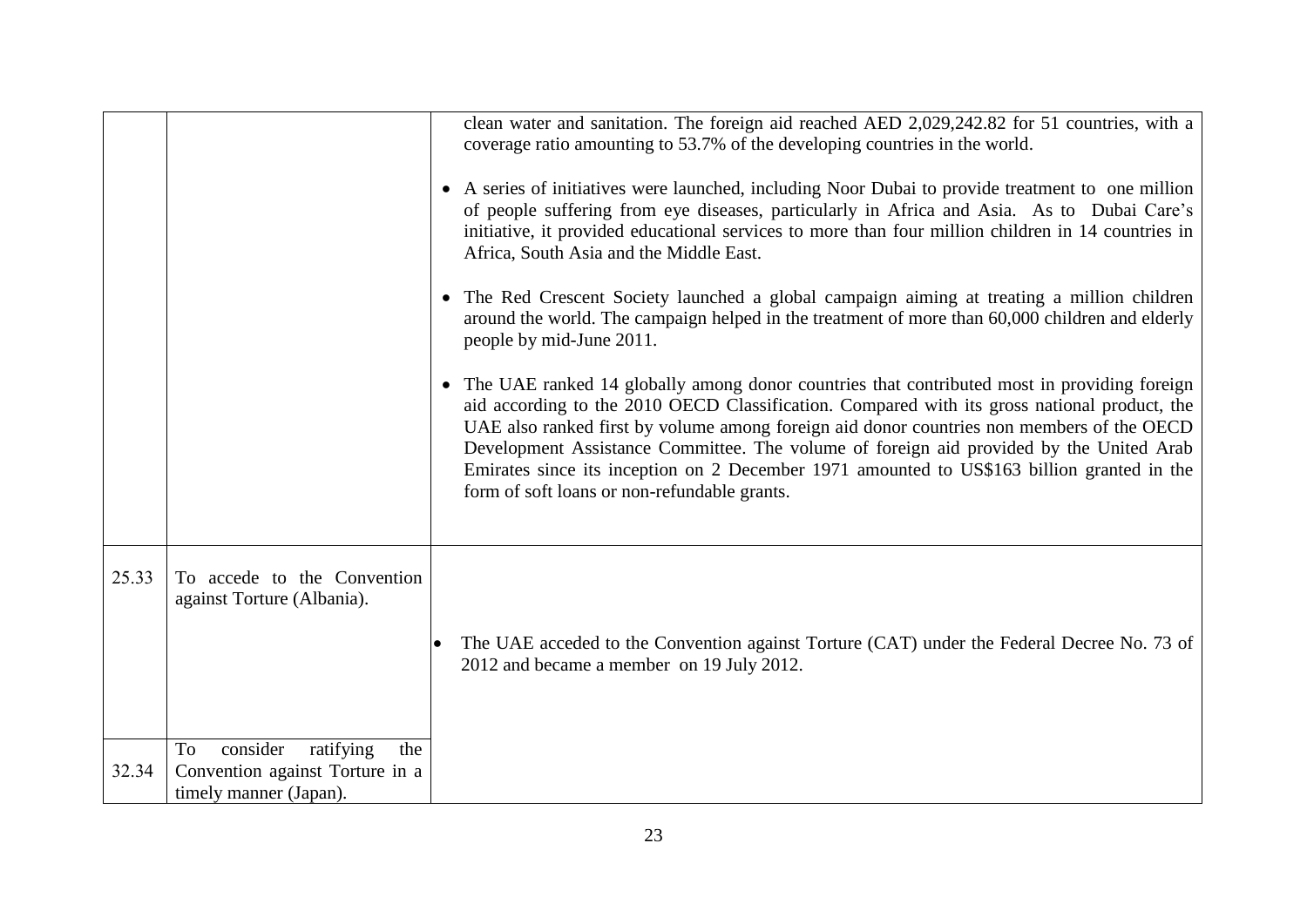|       |                                                                                                 | clean water and sanitation. The foreign aid reached AED 2,029,242.82 for 51 countries, with a<br>coverage ratio amounting to 53.7% of the developing countries in the world.<br>• A series of initiatives were launched, including Noor Dubai to provide treatment to one million<br>of people suffering from eye diseases, particularly in Africa and Asia. As to Dubai Care's<br>initiative, it provided educational services to more than four million children in 14 countries in<br>Africa, South Asia and the Middle East.<br>• The Red Crescent Society launched a global campaign aiming at treating a million children<br>around the world. The campaign helped in the treatment of more than 60,000 children and elderly<br>people by mid-June 2011.<br>• The UAE ranked 14 globally among donor countries that contributed most in providing foreign<br>aid according to the 2010 OECD Classification. Compared with its gross national product, the<br>UAE also ranked first by volume among foreign aid donor countries non members of the OECD<br>Development Assistance Committee. The volume of foreign aid provided by the United Arab<br>Emirates since its inception on 2 December 1971 amounted to US\$163 billion granted in the<br>form of soft loans or non-refundable grants. |
|-------|-------------------------------------------------------------------------------------------------|-------------------------------------------------------------------------------------------------------------------------------------------------------------------------------------------------------------------------------------------------------------------------------------------------------------------------------------------------------------------------------------------------------------------------------------------------------------------------------------------------------------------------------------------------------------------------------------------------------------------------------------------------------------------------------------------------------------------------------------------------------------------------------------------------------------------------------------------------------------------------------------------------------------------------------------------------------------------------------------------------------------------------------------------------------------------------------------------------------------------------------------------------------------------------------------------------------------------------------------------------------------------------------------------------------|
| 25.33 | To accede to the Convention<br>against Torture (Albania).<br>consider<br>To<br>ratifying<br>the | The UAE acceded to the Convention against Torture (CAT) under the Federal Decree No. 73 of<br>2012 and became a member on 19 July 2012.                                                                                                                                                                                                                                                                                                                                                                                                                                                                                                                                                                                                                                                                                                                                                                                                                                                                                                                                                                                                                                                                                                                                                               |
| 32.34 | Convention against Torture in a<br>timely manner (Japan).                                       |                                                                                                                                                                                                                                                                                                                                                                                                                                                                                                                                                                                                                                                                                                                                                                                                                                                                                                                                                                                                                                                                                                                                                                                                                                                                                                       |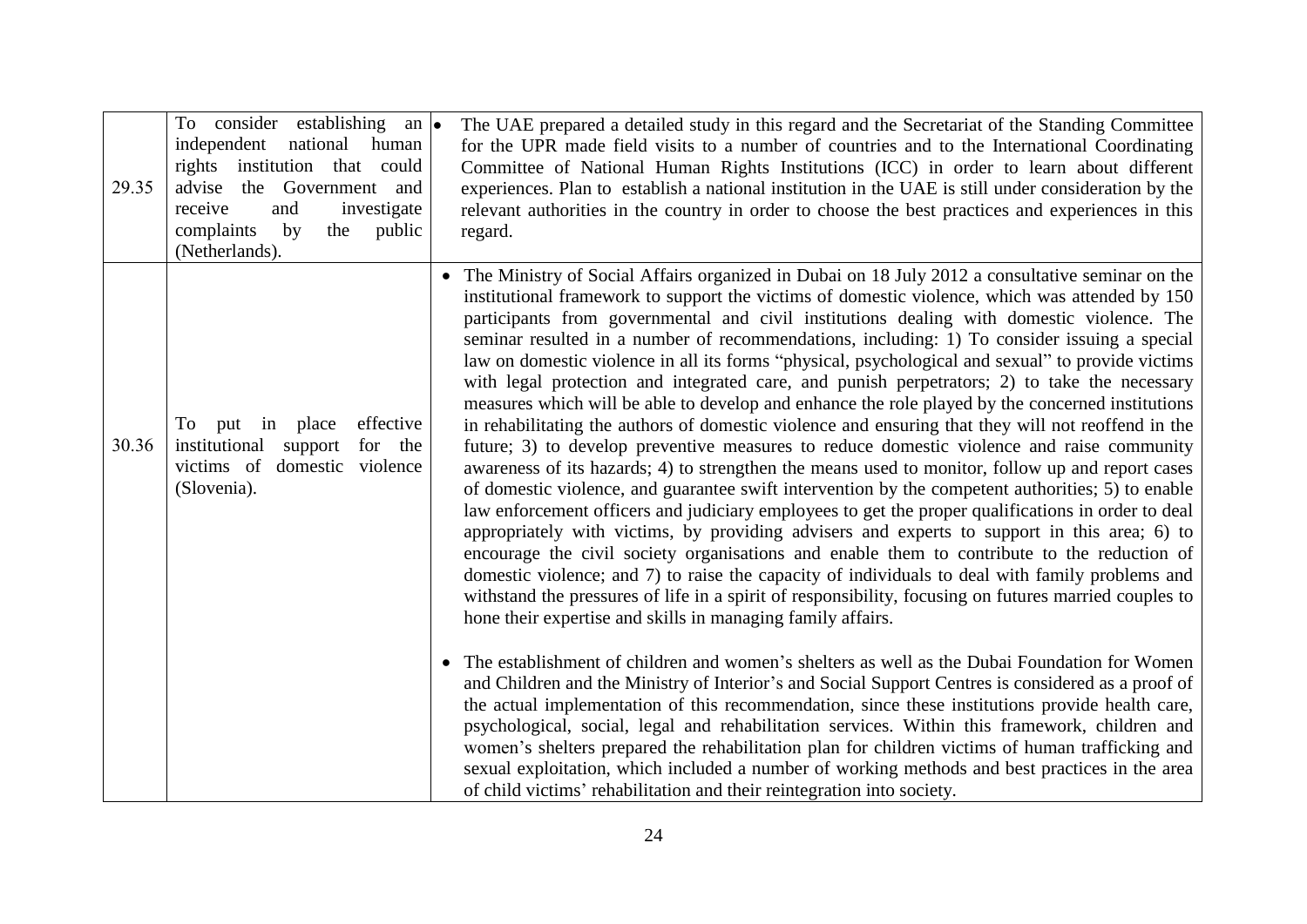| 29.35 | To consider establishing an $\bullet$<br>independent<br>national<br>human<br>rights institution that could<br>advise the Government and<br>investigate<br>receive<br>and<br>complaints<br>by<br>the<br>public<br>(Netherlands). | The UAE prepared a detailed study in this regard and the Secretariat of the Standing Committee<br>for the UPR made field visits to a number of countries and to the International Coordinating<br>Committee of National Human Rights Institutions (ICC) in order to learn about different<br>experiences. Plan to establish a national institution in the UAE is still under consideration by the<br>relevant authorities in the country in order to choose the best practices and experiences in this<br>regard.                                                                                                                                                                                                                                                                                                                                                                                                                                                                                                                                                                                                                                                                                                                                                                                                                                                                                                                                                                                                                                                                                                                                                                                     |
|-------|---------------------------------------------------------------------------------------------------------------------------------------------------------------------------------------------------------------------------------|-------------------------------------------------------------------------------------------------------------------------------------------------------------------------------------------------------------------------------------------------------------------------------------------------------------------------------------------------------------------------------------------------------------------------------------------------------------------------------------------------------------------------------------------------------------------------------------------------------------------------------------------------------------------------------------------------------------------------------------------------------------------------------------------------------------------------------------------------------------------------------------------------------------------------------------------------------------------------------------------------------------------------------------------------------------------------------------------------------------------------------------------------------------------------------------------------------------------------------------------------------------------------------------------------------------------------------------------------------------------------------------------------------------------------------------------------------------------------------------------------------------------------------------------------------------------------------------------------------------------------------------------------------------------------------------------------------|
| 30.36 | effective<br>To<br>place<br>put<br>in<br>institutional<br>support<br>for the<br>domestic violence<br>victims of<br>(Slovenia).                                                                                                  | • The Ministry of Social Affairs organized in Dubai on 18 July 2012 a consultative seminar on the<br>institutional framework to support the victims of domestic violence, which was attended by 150<br>participants from governmental and civil institutions dealing with domestic violence. The<br>seminar resulted in a number of recommendations, including: 1) To consider issuing a special<br>law on domestic violence in all its forms "physical, psychological and sexual" to provide victims<br>with legal protection and integrated care, and punish perpetrators; 2) to take the necessary<br>measures which will be able to develop and enhance the role played by the concerned institutions<br>in rehabilitating the authors of domestic violence and ensuring that they will not reoffend in the<br>future; 3) to develop preventive measures to reduce domestic violence and raise community<br>awareness of its hazards; 4) to strengthen the means used to monitor, follow up and report cases<br>of domestic violence, and guarantee swift intervention by the competent authorities; 5) to enable<br>law enforcement officers and judiciary employees to get the proper qualifications in order to deal<br>appropriately with victims, by providing advisers and experts to support in this area; 6) to<br>encourage the civil society organisations and enable them to contribute to the reduction of<br>domestic violence; and 7) to raise the capacity of individuals to deal with family problems and<br>withstand the pressures of life in a spirit of responsibility, focusing on futures married couples to<br>hone their expertise and skills in managing family affairs. |
|       |                                                                                                                                                                                                                                 | The establishment of children and women's shelters as well as the Dubai Foundation for Women<br>$\bullet$<br>and Children and the Ministry of Interior's and Social Support Centres is considered as a proof of<br>the actual implementation of this recommendation, since these institutions provide health care,<br>psychological, social, legal and rehabilitation services. Within this framework, children and<br>women's shelters prepared the rehabilitation plan for children victims of human trafficking and<br>sexual exploitation, which included a number of working methods and best practices in the area<br>of child victims' rehabilitation and their reintegration into society.                                                                                                                                                                                                                                                                                                                                                                                                                                                                                                                                                                                                                                                                                                                                                                                                                                                                                                                                                                                                    |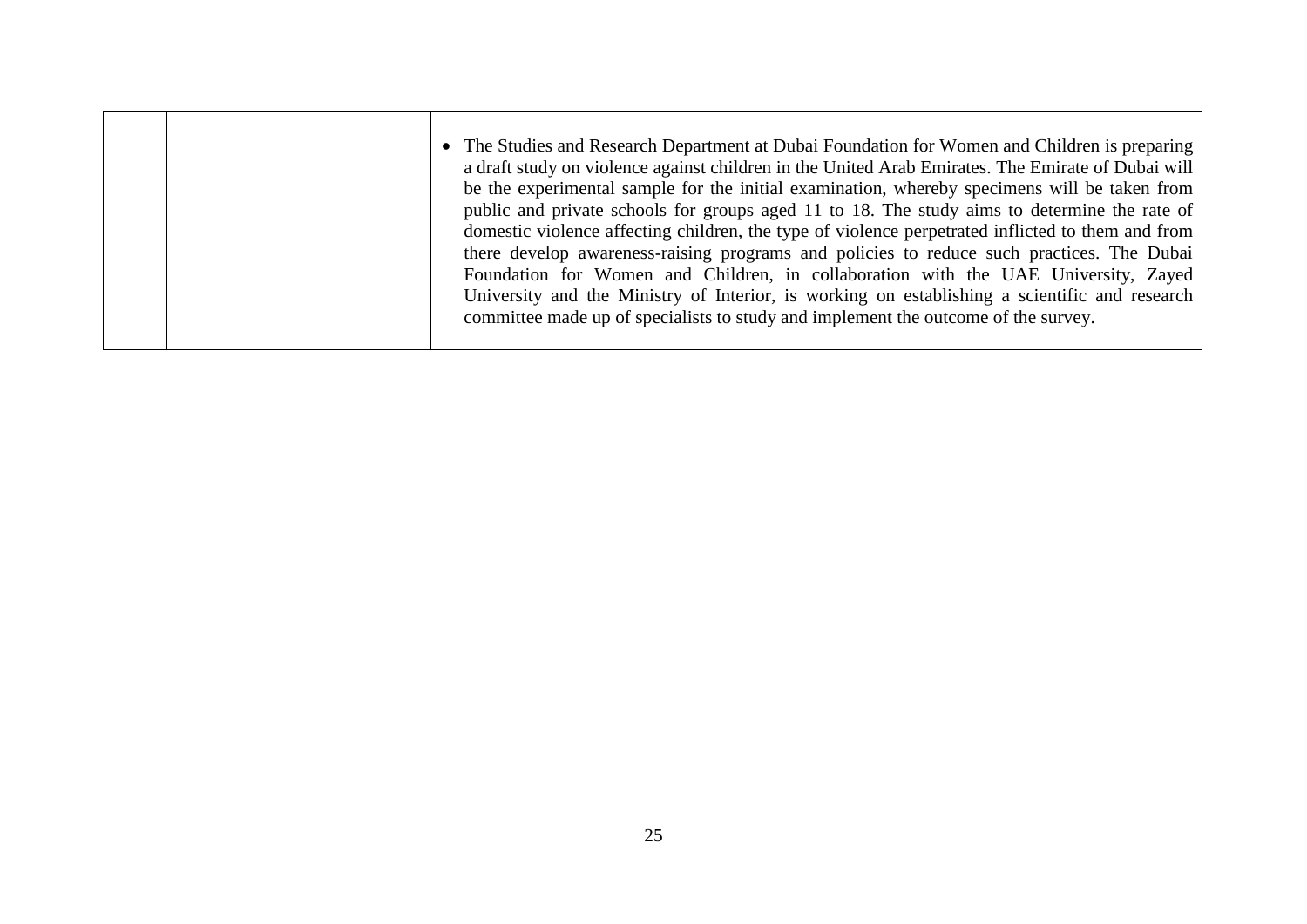|  | • The Studies and Research Department at Dubai Foundation for Women and Children is preparing<br>a draft study on violence against children in the United Arab Emirates. The Emirate of Dubai will<br>be the experimental sample for the initial examination, whereby specimens will be taken from<br>public and private schools for groups aged 11 to 18. The study aims to determine the rate of<br>domestic violence affecting children, the type of violence perpetrated inflicted to them and from<br>there develop awareness-raising programs and policies to reduce such practices. The Dubai<br>Foundation for Women and Children, in collaboration with the UAE University, Zayed<br>University and the Ministry of Interior, is working on establishing a scientific and research<br>committee made up of specialists to study and implement the outcome of the survey. |
|--|-----------------------------------------------------------------------------------------------------------------------------------------------------------------------------------------------------------------------------------------------------------------------------------------------------------------------------------------------------------------------------------------------------------------------------------------------------------------------------------------------------------------------------------------------------------------------------------------------------------------------------------------------------------------------------------------------------------------------------------------------------------------------------------------------------------------------------------------------------------------------------------|
|  |                                                                                                                                                                                                                                                                                                                                                                                                                                                                                                                                                                                                                                                                                                                                                                                                                                                                                   |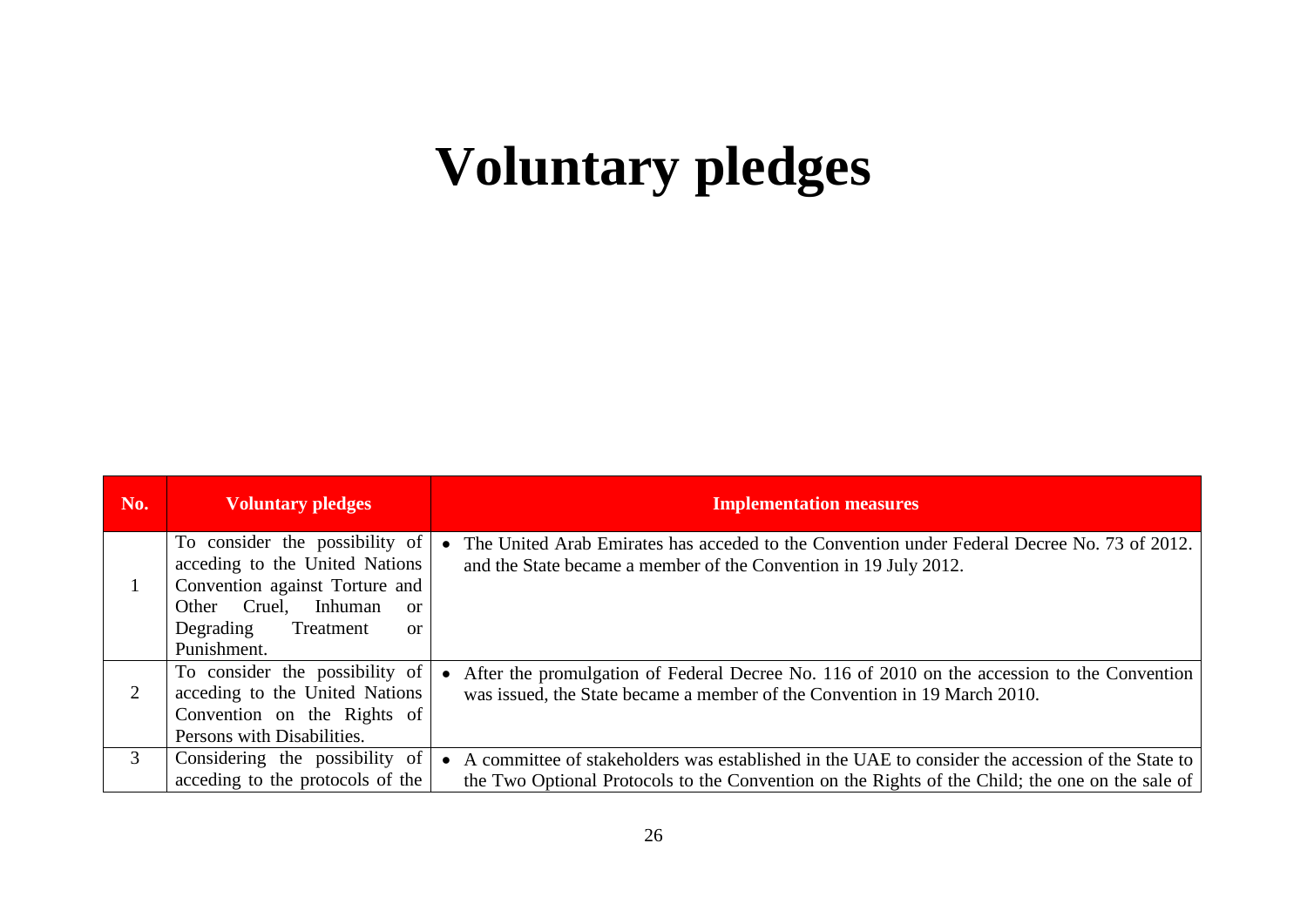# **Voluntary pledges**

| No.                         | <b>Voluntary pledges</b>                                                                                                                                                                      | <b>Implementation measures</b>                                                                                                                                                                        |
|-----------------------------|-----------------------------------------------------------------------------------------------------------------------------------------------------------------------------------------------|-------------------------------------------------------------------------------------------------------------------------------------------------------------------------------------------------------|
|                             | To consider the possibility of<br>acceding to the United Nations<br>Convention against Torture and<br>Other Cruel,<br>Inhuman<br>or<br>Treatment<br>Degrading<br><sub>or</sub><br>Punishment. | The United Arab Emirates has acceded to the Convention under Federal Decree No. 73 of 2012.<br>$\bullet$<br>and the State became a member of the Convention in 19 July 2012.                          |
| $\mathcal{D}_{\mathcal{L}}$ | To consider the possibility of<br>acceding to the United Nations<br>Convention on the Rights of<br>Persons with Disabilities.                                                                 | After the promulgation of Federal Decree No. 116 of 2010 on the accession to the Convention<br>$\bullet$<br>was issued, the State became a member of the Convention in 19 March 2010.                 |
| 3                           | Considering the possibility of<br>acceding to the protocols of the                                                                                                                            | • A committee of stakeholders was established in the UAE to consider the accession of the State to<br>the Two Optional Protocols to the Convention on the Rights of the Child; the one on the sale of |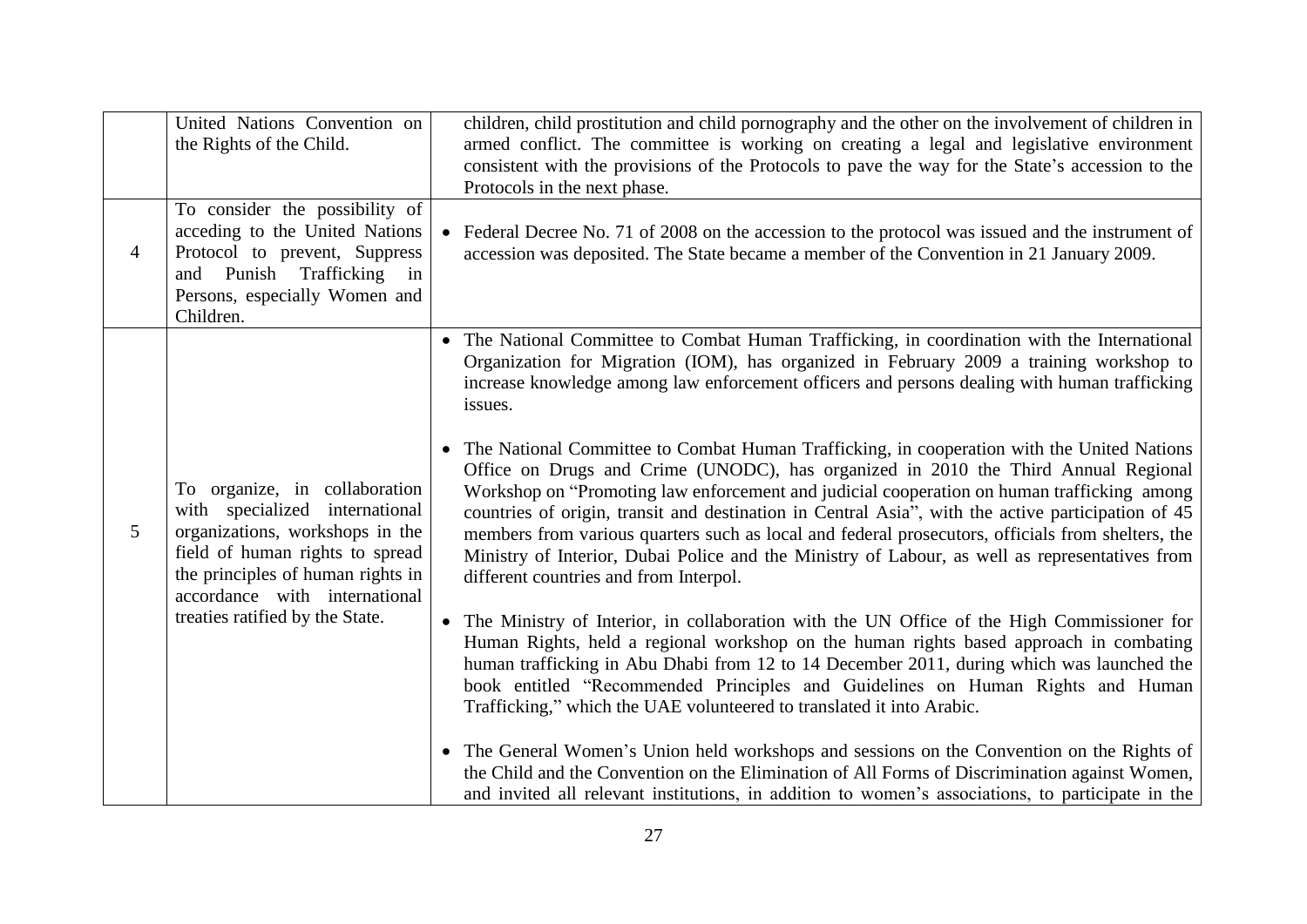|   | United Nations Convention on<br>the Rights of the Child.                                                                                                                                                                                       |                                     | children, child prostitution and child pornography and the other on the involvement of children in<br>armed conflict. The committee is working on creating a legal and legislative environment<br>consistent with the provisions of the Protocols to pave the way for the State's accession to the<br>Protocols in the next phase.                                                                                                                                                                                                                                                                                                                                                                                                                                                                                                                                                                                                                                                                                                                                                                                                                                                                                                                                                                                                                                                                                                                                                                                                                                                       |
|---|------------------------------------------------------------------------------------------------------------------------------------------------------------------------------------------------------------------------------------------------|-------------------------------------|------------------------------------------------------------------------------------------------------------------------------------------------------------------------------------------------------------------------------------------------------------------------------------------------------------------------------------------------------------------------------------------------------------------------------------------------------------------------------------------------------------------------------------------------------------------------------------------------------------------------------------------------------------------------------------------------------------------------------------------------------------------------------------------------------------------------------------------------------------------------------------------------------------------------------------------------------------------------------------------------------------------------------------------------------------------------------------------------------------------------------------------------------------------------------------------------------------------------------------------------------------------------------------------------------------------------------------------------------------------------------------------------------------------------------------------------------------------------------------------------------------------------------------------------------------------------------------------|
| 4 | To consider the possibility of<br>acceding to the United Nations<br>Protocol to prevent, Suppress<br>and Punish Trafficking in<br>Persons, especially Women and<br>Children.                                                                   |                                     | • Federal Decree No. 71 of 2008 on the accession to the protocol was issued and the instrument of<br>accession was deposited. The State became a member of the Convention in 21 January 2009.                                                                                                                                                                                                                                                                                                                                                                                                                                                                                                                                                                                                                                                                                                                                                                                                                                                                                                                                                                                                                                                                                                                                                                                                                                                                                                                                                                                            |
| 5 | To organize, in collaboration<br>with specialized international<br>organizations, workshops in the<br>field of human rights to spread<br>the principles of human rights in<br>accordance with international<br>treaties ratified by the State. | $\bullet$<br>$\bullet$<br>$\bullet$ | • The National Committee to Combat Human Trafficking, in coordination with the International<br>Organization for Migration (IOM), has organized in February 2009 a training workshop to<br>increase knowledge among law enforcement officers and persons dealing with human trafficking<br>issues.<br>The National Committee to Combat Human Trafficking, in cooperation with the United Nations<br>Office on Drugs and Crime (UNODC), has organized in 2010 the Third Annual Regional<br>Workshop on "Promoting law enforcement and judicial cooperation on human trafficking among<br>countries of origin, transit and destination in Central Asia", with the active participation of 45<br>members from various quarters such as local and federal prosecutors, officials from shelters, the<br>Ministry of Interior, Dubai Police and the Ministry of Labour, as well as representatives from<br>different countries and from Interpol.<br>The Ministry of Interior, in collaboration with the UN Office of the High Commissioner for<br>Human Rights, held a regional workshop on the human rights based approach in combating<br>human trafficking in Abu Dhabi from 12 to 14 December 2011, during which was launched the<br>book entitled "Recommended Principles and Guidelines on Human Rights and Human<br>Trafficking," which the UAE volunteered to translated it into Arabic.<br>The General Women's Union held workshops and sessions on the Convention on the Rights of<br>the Child and the Convention on the Elimination of All Forms of Discrimination against Women, |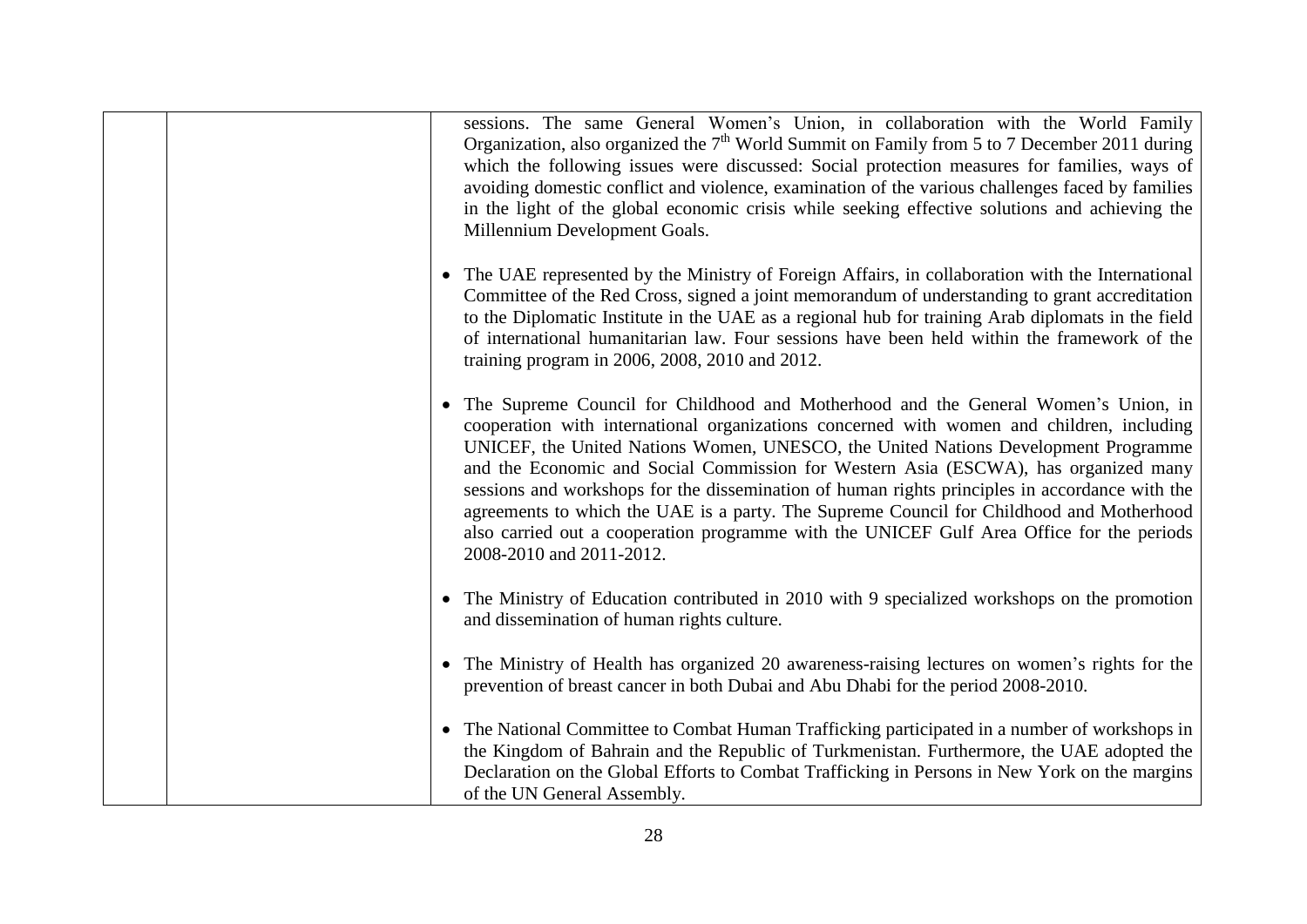|           | sessions. The same General Women's Union, in collaboration with the World Family<br>Organization, also organized the $7th$ World Summit on Family from 5 to 7 December 2011 during<br>which the following issues were discussed: Social protection measures for families, ways of<br>avoiding domestic conflict and violence, examination of the various challenges faced by families<br>in the light of the global economic crisis while seeking effective solutions and achieving the<br>Millennium Development Goals.                                                                                                                                                            |
|-----------|-------------------------------------------------------------------------------------------------------------------------------------------------------------------------------------------------------------------------------------------------------------------------------------------------------------------------------------------------------------------------------------------------------------------------------------------------------------------------------------------------------------------------------------------------------------------------------------------------------------------------------------------------------------------------------------|
|           | • The UAE represented by the Ministry of Foreign Affairs, in collaboration with the International<br>Committee of the Red Cross, signed a joint memorandum of understanding to grant accreditation<br>to the Diplomatic Institute in the UAE as a regional hub for training Arab diplomats in the field<br>of international humanitarian law. Four sessions have been held within the framework of the<br>training program in 2006, 2008, 2010 and 2012.                                                                                                                                                                                                                            |
|           | The Supreme Council for Childhood and Motherhood and the General Women's Union, in<br>cooperation with international organizations concerned with women and children, including<br>UNICEF, the United Nations Women, UNESCO, the United Nations Development Programme<br>and the Economic and Social Commission for Western Asia (ESCWA), has organized many<br>sessions and workshops for the dissemination of human rights principles in accordance with the<br>agreements to which the UAE is a party. The Supreme Council for Childhood and Motherhood<br>also carried out a cooperation programme with the UNICEF Gulf Area Office for the periods<br>2008-2010 and 2011-2012. |
|           | • The Ministry of Education contributed in 2010 with 9 specialized workshops on the promotion<br>and dissemination of human rights culture.                                                                                                                                                                                                                                                                                                                                                                                                                                                                                                                                         |
|           | • The Ministry of Health has organized 20 awareness-raising lectures on women's rights for the<br>prevention of breast cancer in both Dubai and Abu Dhabi for the period 2008-2010.                                                                                                                                                                                                                                                                                                                                                                                                                                                                                                 |
| $\bullet$ | The National Committee to Combat Human Trafficking participated in a number of workshops in<br>the Kingdom of Bahrain and the Republic of Turkmenistan. Furthermore, the UAE adopted the<br>Declaration on the Global Efforts to Combat Trafficking in Persons in New York on the margins<br>of the UN General Assembly.                                                                                                                                                                                                                                                                                                                                                            |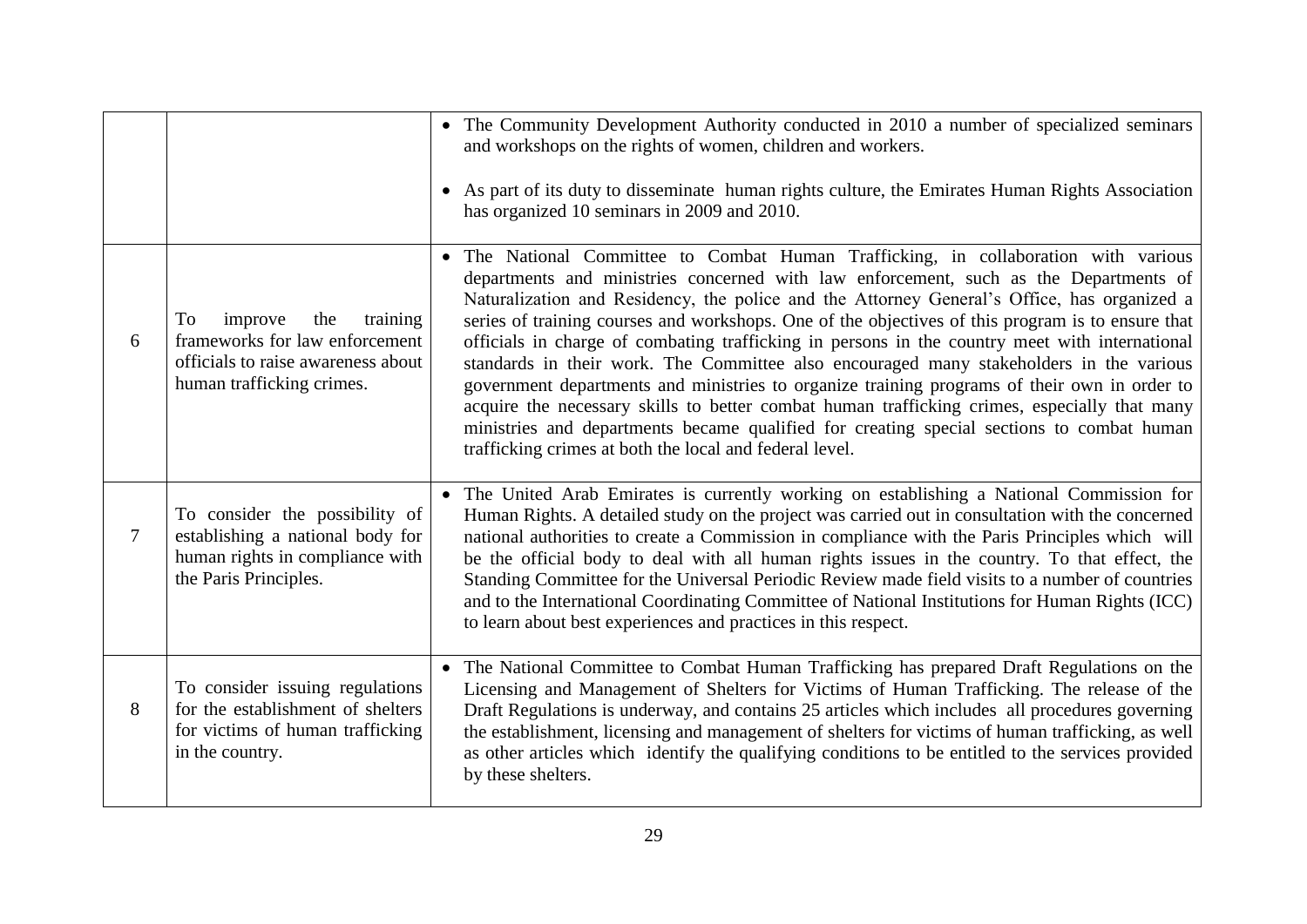|   |                                                                                                                                       | • The Community Development Authority conducted in 2010 a number of specialized seminars<br>and workshops on the rights of women, children and workers.<br>• As part of its duty to disseminate human rights culture, the Emirates Human Rights Association                                                                                                                                                                                                                                                                                                                                                                                                                                                                                                                                                                                                                                                                           |
|---|---------------------------------------------------------------------------------------------------------------------------------------|---------------------------------------------------------------------------------------------------------------------------------------------------------------------------------------------------------------------------------------------------------------------------------------------------------------------------------------------------------------------------------------------------------------------------------------------------------------------------------------------------------------------------------------------------------------------------------------------------------------------------------------------------------------------------------------------------------------------------------------------------------------------------------------------------------------------------------------------------------------------------------------------------------------------------------------|
|   |                                                                                                                                       | has organized 10 seminars in 2009 and 2010.                                                                                                                                                                                                                                                                                                                                                                                                                                                                                                                                                                                                                                                                                                                                                                                                                                                                                           |
| 6 | improve<br>training<br>To<br>the<br>frameworks for law enforcement<br>officials to raise awareness about<br>human trafficking crimes. | • The National Committee to Combat Human Trafficking, in collaboration with various<br>departments and ministries concerned with law enforcement, such as the Departments of<br>Naturalization and Residency, the police and the Attorney General's Office, has organized a<br>series of training courses and workshops. One of the objectives of this program is to ensure that<br>officials in charge of combating trafficking in persons in the country meet with international<br>standards in their work. The Committee also encouraged many stakeholders in the various<br>government departments and ministries to organize training programs of their own in order to<br>acquire the necessary skills to better combat human trafficking crimes, especially that many<br>ministries and departments became qualified for creating special sections to combat human<br>trafficking crimes at both the local and federal level. |
| 7 | To consider the possibility of<br>establishing a national body for<br>human rights in compliance with<br>the Paris Principles.        | • The United Arab Emirates is currently working on establishing a National Commission for<br>Human Rights. A detailed study on the project was carried out in consultation with the concerned<br>national authorities to create a Commission in compliance with the Paris Principles which will<br>be the official body to deal with all human rights issues in the country. To that effect, the<br>Standing Committee for the Universal Periodic Review made field visits to a number of countries<br>and to the International Coordinating Committee of National Institutions for Human Rights (ICC)<br>to learn about best experiences and practices in this respect.                                                                                                                                                                                                                                                              |
| 8 | To consider issuing regulations<br>for the establishment of shelters<br>for victims of human trafficking<br>in the country.           | • The National Committee to Combat Human Trafficking has prepared Draft Regulations on the<br>Licensing and Management of Shelters for Victims of Human Trafficking. The release of the<br>Draft Regulations is underway, and contains 25 articles which includes all procedures governing<br>the establishment, licensing and management of shelters for victims of human trafficking, as well<br>as other articles which identify the qualifying conditions to be entitled to the services provided<br>by these shelters.                                                                                                                                                                                                                                                                                                                                                                                                           |